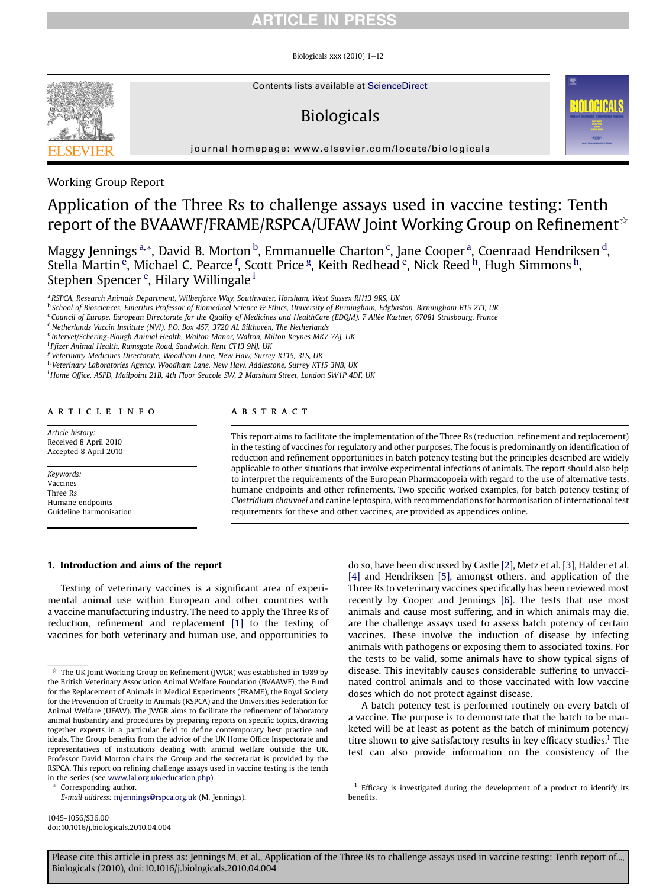#### Biologicals xxx (2010)  $1-12$

<span id="page-0-0"></span>

# **Biologicals**



journal homepage: www.elsevier.com/locate/biologicals

Working Group Report

# Application of the Three Rs to challenge assays used in vaccine testing: Tenth report of the BVAAWF/FRAME/RSPCA/UFAW Joint Working Group on Refinement $\dot{\alpha}$

Maggy Jennings <sup>a, \*</sup>, David B. Morton <sup>b</sup>, Emmanuelle Charton <sup>c</sup>, Jane Cooper <sup>a</sup>, Coenraad Hendriksen <sup>d</sup>, Stella Martin <sup>e</sup>, Michael C. Pearce <sup>f</sup>, Scott Price <sup>g</sup>, Keith Redhead <sup>e</sup>, Nick Reed <sup>h</sup>, Hugh Simmons <sup>h</sup>, Stephen Spencer<sup>e</sup>, Hilary Willingale <sup>i</sup>

a RSPCA, Research Animals Department, Wilberforce Way, Southwater, Horsham, West Sussex RH13 9RS, UK

<sup>b</sup> School of Biosciences, Emeritus Professor of Biomedical Science & Ethics, University of Birmingham, Edgbaston, Birmingham B15 2TT, UK

<sup>c</sup> Council of Europe, European Directorate for the Quality of Medicines and HealthCare (EDQM), 7 Allée Kastner, 67081 Strasbourg, France

<sup>e</sup> Intervet/Schering-Plough Animal Health, Walton Manor, Walton, Milton Keynes MK7 7AJ, UK

<sup>f</sup> Pfizer Animal Health, Ramsgate Road, Sandwich, Kent CT13 9NJ, UK

<sup>g</sup> Veterinary Medicines Directorate, Woodham Lane, New Haw, Surrey KT15, 3LS, UK

h Veterinary Laboratories Agency, Woodham Lane, New Haw, Addlestone, Surrey KT15 3NB, UK

<sup>i</sup> Home Office, ASPD, Mailpoint 21B, 4th Floor Seacole SW, 2 Marsham Street, London SW1P 4DF, UK

#### article info

Article history: Received 8 April 2010 Accepted 8 April 2010

Keywords: Vaccines Three Rs Humane endpoints Guideline harmonisation

# ABSTRACT

This report aims to facilitate the implementation of the Three Rs (reduction, refinement and replacement) in the testing of vaccines for regulatory and other purposes. The focus is predominantly on identification of reduction and refinement opportunities in batch potency testing but the principles described are widely applicable to other situations that involve experimental infections of animals. The report should also help to interpret the requirements of the European Pharmacopoeia with regard to the use of alternative tests, humane endpoints and other refinements. Two specific worked examples, for batch potency testing of Clostridium chauvoei and canine leptospira, with recommendations for harmonisation of international test requirements for these and other vaccines, are provided as appendices online.

# 1. Introduction and aims of the report

Testing of veterinary vaccines is a significant area of experimental animal use within European and other countries with a vaccine manufacturing industry. The need to apply the Three Rs of reduction, refinement and replacement [\[1\]](#page-11-0) to the testing of vaccines for both veterinary and human use, and opportunities to

Corresponding author.

E-mail address: [mjennings@rspca.org.uk](mailto:mjennings@rspca.org.uk) (M. Jennings).

1045-1056/\$36.00 doi:10.1016/j.biologicals.2010.04.004 do so, have been discussed by Castle [\[2\],](#page-11-0) Metz et al. [\[3\],](#page-11-0) Halder et al. [\[4\]](#page-11-0) and Hendriksen [\[5\],](#page-11-0) amongst others, and application of the Three Rs to veterinary vaccines specifically has been reviewed most recently by Cooper and Jennings [\[6\].](#page-11-0) The tests that use most animals and cause most suffering, and in which animals may die, are the challenge assays used to assess batch potency of certain vaccines. These involve the induction of disease by infecting animals with pathogens or exposing them to associated toxins. For the tests to be valid, some animals have to show typical signs of disease. This inevitably causes considerable suffering to unvaccinated control animals and to those vaccinated with low vaccine doses which do not protect against disease.

A batch potency test is performed routinely on every batch of a vaccine. The purpose is to demonstrate that the batch to be marketed will be at least as potent as the batch of minimum potency/ titre shown to give satisfactory results in key efficacy studies.<sup>1</sup> The test can also provide information on the consistency of the

 $d$  Netherlands Vaccin Institute (NVI), P.O. Box 457, 3720 AL Bilthoven, The Netherlands

 $\hat{\mathbb{X}}$  The UK Joint Working Group on Refinement (JWGR) was established in 1989 by the British Veterinary Association Animal Welfare Foundation (BVAAWF), the Fund for the Replacement of Animals in Medical Experiments (FRAME), the Royal Society for the Prevention of Cruelty to Animals (RSPCA) and the Universities Federation for Animal Welfare (UFAW). The JWGR aims to facilitate the refinement of laboratory animal husbandry and procedures by preparing reports on specific topics, drawing together experts in a particular field to define contemporary best practice and ideals. The Group benefits from the advice of the UK Home Office Inspectorate and representatives of institutions dealing with animal welfare outside the UK. Professor David Morton chairs the Group and the secretariat is provided by the RSPCA. This report on refining challenge assays used in vaccine testing is the tenth in the series (see [www.lal.org.uk/education.php](http://www.lal.org.uk/education.php)).

Efficacy is investigated during the development of a product to identify its benefits.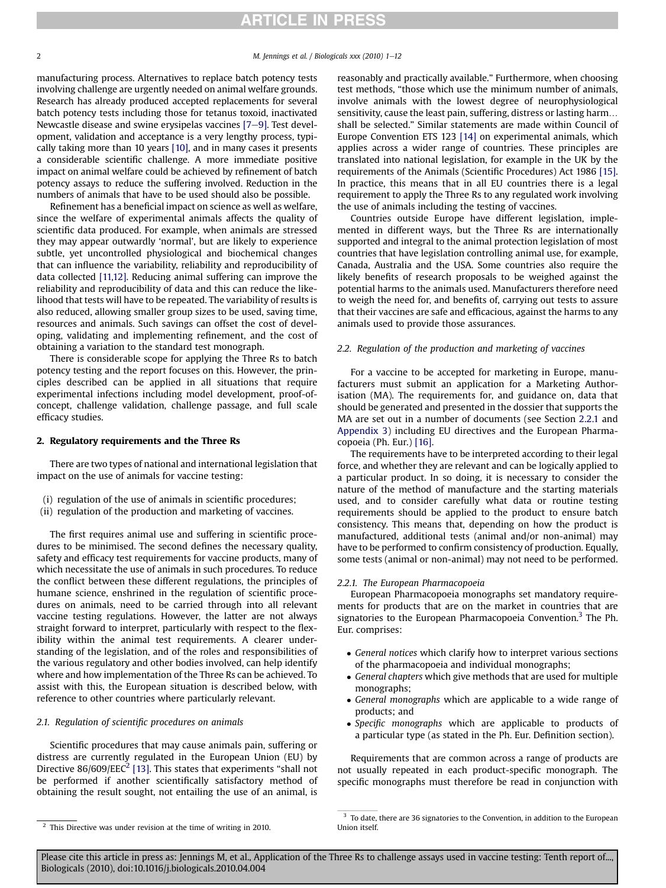manufacturing process. Alternatives to replace batch potency tests involving challenge are urgently needed on animal welfare grounds. Research has already produced accepted replacements for several batch potency tests including those for tetanus toxoid, inactivated Newcastle disease and swine erysipelas vaccines  $[7-9]$  $[7-9]$ . Test development, validation and acceptance is a very lengthy process, typically taking more than 10 years [\[10\]](#page-11-0), and in many cases it presents a considerable scientific challenge. A more immediate positive impact on animal welfare could be achieved by refinement of batch potency assays to reduce the suffering involved. Reduction in the numbers of animals that have to be used should also be possible.

Refinement has a beneficial impact on science as well as welfare, since the welfare of experimental animals affects the quality of scientific data produced. For example, when animals are stressed they may appear outwardly 'normal', but are likely to experience subtle, yet uncontrolled physiological and biochemical changes that can influence the variability, reliability and reproducibility of data collected [\[11,12\]](#page-11-0). Reducing animal suffering can improve the reliability and reproducibility of data and this can reduce the likelihood that tests will have to be repeated. The variability of results is also reduced, allowing smaller group sizes to be used, saving time, resources and animals. Such savings can offset the cost of developing, validating and implementing refinement, and the cost of obtaining a variation to the standard test monograph.

There is considerable scope for applying the Three Rs to batch potency testing and the report focuses on this. However, the principles described can be applied in all situations that require experimental infections including model development, proof-ofconcept, challenge validation, challenge passage, and full scale efficacy studies.

### 2. Regulatory requirements and the Three Rs

There are two types of national and international legislation that impact on the use of animals for vaccine testing:

- (i) regulation of the use of animals in scientific procedures;
- (ii) regulation of the production and marketing of vaccines.

The first requires animal use and suffering in scientific procedures to be minimised. The second defines the necessary quality, safety and efficacy test requirements for vaccine products, many of which necessitate the use of animals in such procedures. To reduce the conflict between these different regulations, the principles of humane science, enshrined in the regulation of scientific procedures on animals, need to be carried through into all relevant vaccine testing regulations. However, the latter are not always straight forward to interpret, particularly with respect to the flexibility within the animal test requirements. A clearer understanding of the legislation, and of the roles and responsibilities of the various regulatory and other bodies involved, can help identify where and how implementation of the Three Rs can be achieved. To assist with this, the European situation is described below, with reference to other countries where particularly relevant.

### 2.1. Regulation of scientific procedures on animals

Scientific procedures that may cause animals pain, suffering or distress are currently regulated in the European Union (EU) by Directive  $86/609/EEC^2$  [\[13\].](#page-11-0) This states that experiments "shall not be performed if another scientifically satisfactory method of obtaining the result sought, not entailing the use of an animal, is reasonably and practically available." Furthermore, when choosing test methods, "those which use the minimum number of animals, involve animals with the lowest degree of neurophysiological sensitivity, cause the least pain, suffering, distress or lasting harm... shall be selected." Similar statements are made within Council of Europe Convention ETS 123 [\[14\]](#page-11-0) on experimental animals, which applies across a wider range of countries. These principles are translated into national legislation, for example in the UK by the requirements of the Animals (Scientific Procedures) Act 1986 [\[15\].](#page-11-0) In practice, this means that in all EU countries there is a legal requirement to apply the Three Rs to any regulated work involving the use of animals including the testing of vaccines.

Countries outside Europe have different legislation, implemented in different ways, but the Three Rs are internationally supported and integral to the animal protection legislation of most countries that have legislation controlling animal use, for example, Canada, Australia and the USA. Some countries also require the likely benefits of research proposals to be weighed against the potential harms to the animals used. Manufacturers therefore need to weigh the need for, and benefits of, carrying out tests to assure that their vaccines are safe and efficacious, against the harms to any animals used to provide those assurances.

#### 2.2. Regulation of the production and marketing of vaccines

For a vaccine to be accepted for marketing in Europe, manufacturers must submit an application for a Marketing Authorisation (MA). The requirements for, and guidance on, data that should be generated and presented in the dossier that supports the MA are set out in a number of documents (see Section 2.2.1 and Appendix 3) including EU directives and the European Pharmacopoeia (Ph. Eur.) [\[16\]](#page-11-0).

The requirements have to be interpreted according to their legal force, and whether they are relevant and can be logically applied to a particular product. In so doing, it is necessary to consider the nature of the method of manufacture and the starting materials used, and to consider carefully what data or routine testing requirements should be applied to the product to ensure batch consistency. This means that, depending on how the product is manufactured, additional tests (animal and/or non-animal) may have to be performed to confirm consistency of production. Equally, some tests (animal or non-animal) may not need to be performed.

#### 2.2.1. The European Pharmacopoeia

European Pharmacopoeia monographs set mandatory requirements for products that are on the market in countries that are signatories to the European Pharmacopoeia Convention.<sup>3</sup> The Ph. Eur. comprises:

- General notices which clarify how to interpret various sections of the pharmacopoeia and individual monographs;
- General chapters which give methods that are used for multiple monographs;
- General monographs which are applicable to a wide range of products; and
- Specific monographs which are applicable to products of a particular type (as stated in the Ph. Eur. Definition section).

Requirements that are common across a range of products are not usually repeated in each product-specific monograph. The specific monographs must therefore be read in conjunction with

<sup>2</sup> This Directive was under revision at the time of writing in 2010.

 $3\,$  To date, there are 36 signatories to the Convention, in addition to the European Union itself.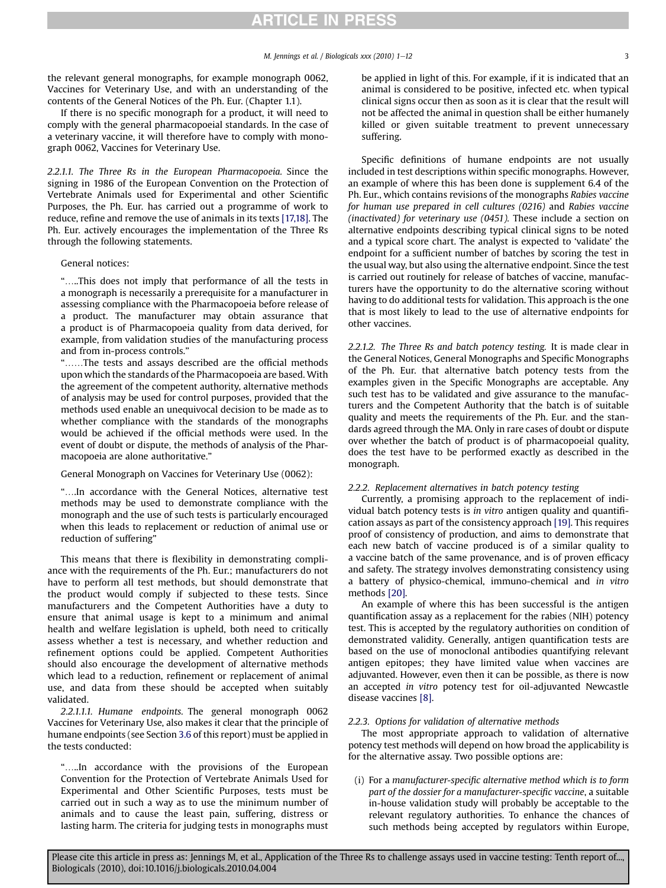the relevant general monographs, for example monograph 0062, Vaccines for Veterinary Use, and with an understanding of the contents of the General Notices of the Ph. Eur. (Chapter 1.1).

If there is no specific monograph for a product, it will need to comply with the general pharmacopoeial standards. In the case of a veterinary vaccine, it will therefore have to comply with monograph 0062, Vaccines for Veterinary Use.

2.2.1.1. The Three Rs in the European Pharmacopoeia. Since the signing in 1986 of the European Convention on the Protection of Vertebrate Animals used for Experimental and other Scientific Purposes, the Ph. Eur. has carried out a programme of work to reduce, refine and remove the use of animals in its texts [\[17,18\].](#page-11-0) The Ph. Eur. actively encourages the implementation of the Three Rs through the following statements.

# General notices:

"...This does not imply that performance of all the tests in a monograph is necessarily a prerequisite for a manufacturer in assessing compliance with the Pharmacopoeia before release of a product. The manufacturer may obtain assurance that a product is of Pharmacopoeia quality from data derived, for example, from validation studies of the manufacturing process and from in-process controls."

"......The tests and assays described are the official methods upon which the standards of the Pharmacopoeia are based. With the agreement of the competent authority, alternative methods of analysis may be used for control purposes, provided that the methods used enable an unequivocal decision to be made as to whether compliance with the standards of the monographs would be achieved if the official methods were used. In the event of doubt or dispute, the methods of analysis of the Pharmacopoeia are alone authoritative."

#### General Monograph on Vaccines for Veterinary Use (0062):

"..In accordance with the General Notices, alternative test methods may be used to demonstrate compliance with the monograph and the use of such tests is particularly encouraged when this leads to replacement or reduction of animal use or reduction of suffering"

This means that there is flexibility in demonstrating compliance with the requirements of the Ph. Eur.; manufacturers do not have to perform all test methods, but should demonstrate that the product would comply if subjected to these tests. Since manufacturers and the Competent Authorities have a duty to ensure that animal usage is kept to a minimum and animal health and welfare legislation is upheld, both need to critically assess whether a test is necessary, and whether reduction and refinement options could be applied. Competent Authorities should also encourage the development of alternative methods which lead to a reduction, refinement or replacement of animal use, and data from these should be accepted when suitably validated.

2.2.1.1.1. Humane endpoints. The general monograph 0062 Vaccines for Veterinary Use, also makes it clear that the principle of humane endpoints (see Section [3.6](#page-7-0) of this report) must be applied in the tests conducted:

"...In accordance with the provisions of the European Convention for the Protection of Vertebrate Animals Used for Experimental and Other Scientific Purposes, tests must be carried out in such a way as to use the minimum number of animals and to cause the least pain, suffering, distress or lasting harm. The criteria for judging tests in monographs must be applied in light of this. For example, if it is indicated that an animal is considered to be positive, infected etc. when typical clinical signs occur then as soon as it is clear that the result will not be affected the animal in question shall be either humanely killed or given suitable treatment to prevent unnecessary suffering.

Specific definitions of humane endpoints are not usually included in test descriptions within specific monographs. However, an example of where this has been done is supplement 6.4 of the Ph. Eur., which contains revisions of the monographs Rabies vaccine for human use prepared in cell cultures (0216) and Rabies vaccine (inactivated) for veterinary use (0451). These include a section on alternative endpoints describing typical clinical signs to be noted and a typical score chart. The analyst is expected to 'validate' the endpoint for a sufficient number of batches by scoring the test in the usual way, but also using the alternative endpoint. Since the test is carried out routinely for release of batches of vaccine, manufacturers have the opportunity to do the alternative scoring without having to do additional tests for validation. This approach is the one that is most likely to lead to the use of alternative endpoints for other vaccines.

2.2.1.2. The Three Rs and batch potency testing. It is made clear in the General Notices, General Monographs and Specific Monographs of the Ph. Eur. that alternative batch potency tests from the examples given in the Specific Monographs are acceptable. Any such test has to be validated and give assurance to the manufacturers and the Competent Authority that the batch is of suitable quality and meets the requirements of the Ph. Eur. and the standards agreed through the MA. Only in rare cases of doubt or dispute over whether the batch of product is of pharmacopoeial quality, does the test have to be performed exactly as described in the monograph.

#### 2.2.2. Replacement alternatives in batch potency testing

Currently, a promising approach to the replacement of individual batch potency tests is in vitro antigen quality and quantification assays as part of the consistency approach [\[19\]](#page-11-0). This requires proof of consistency of production, and aims to demonstrate that each new batch of vaccine produced is of a similar quality to a vaccine batch of the same provenance, and is of proven efficacy and safety. The strategy involves demonstrating consistency using a battery of physico-chemical, immuno-chemical and in vitro methods [\[20\]](#page-11-0).

An example of where this has been successful is the antigen quantification assay as a replacement for the rabies (NIH) potency test. This is accepted by the regulatory authorities on condition of demonstrated validity. Generally, antigen quantification tests are based on the use of monoclonal antibodies quantifying relevant antigen epitopes; they have limited value when vaccines are adjuvanted. However, even then it can be possible, as there is now an accepted in vitro potency test for oil-adjuvanted Newcastle disease vaccines [\[8\]](#page-11-0).

#### 2.2.3. Options for validation of alternative methods

The most appropriate approach to validation of alternative potency test methods will depend on how broad the applicability is for the alternative assay. Two possible options are:

(i) For a manufacturer-specific alternative method which is to form part of the dossier for a manufacturer-specific vaccine, a suitable in-house validation study will probably be acceptable to the relevant regulatory authorities. To enhance the chances of such methods being accepted by regulators within Europe,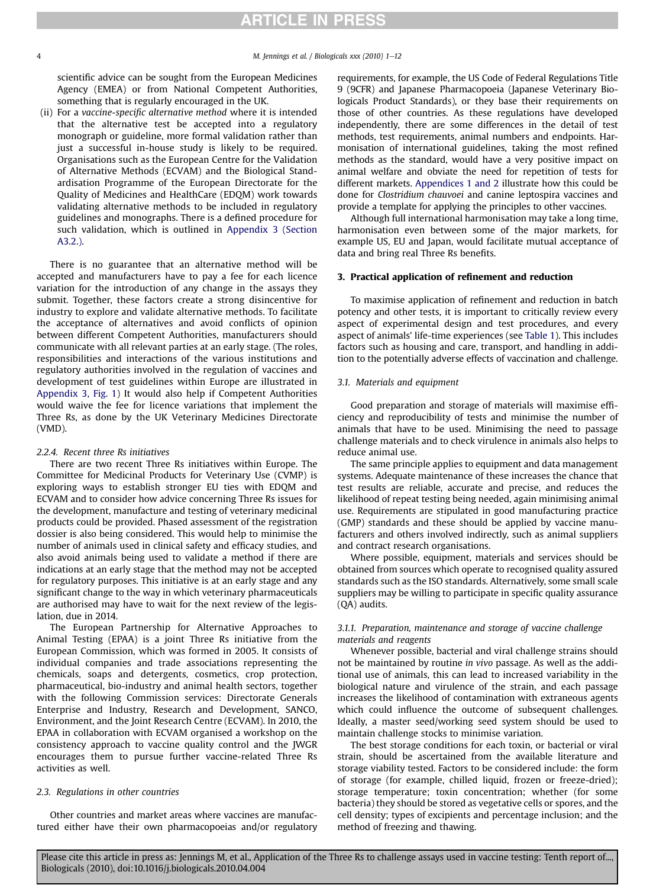<span id="page-3-0"></span>

scientific advice can be sought from the European Medicines Agency (EMEA) or from National Competent Authorities, something that is regularly encouraged in the UK.

(ii) For a vaccine-specific alternative method where it is intended that the alternative test be accepted into a regulatory monograph or guideline, more formal validation rather than just a successful in-house study is likely to be required. Organisations such as the European Centre for the Validation of Alternative Methods (ECVAM) and the Biological Standardisation Programme of the European Directorate for the Quality of Medicines and HealthCare (EDQM) work towards validating alternative methods to be included in regulatory guidelines and monographs. There is a defined procedure for such validation, which is outlined in Appendix 3 (Section A3.2.).

There is no guarantee that an alternative method will be accepted and manufacturers have to pay a fee for each licence variation for the introduction of any change in the assays they submit. Together, these factors create a strong disincentive for industry to explore and validate alternative methods. To facilitate the acceptance of alternatives and avoid conflicts of opinion between different Competent Authorities, manufacturers should communicate with all relevant parties at an early stage. (The roles, responsibilities and interactions of the various institutions and regulatory authorities involved in the regulation of vaccines and development of test guidelines within Europe are illustrated in Appendix 3, Fig. 1) It would also help if Competent Authorities would waive the fee for licence variations that implement the Three Rs, as done by the UK Veterinary Medicines Directorate (VMD).

### 2.2.4. Recent three Rs initiatives

There are two recent Three Rs initiatives within Europe. The Committee for Medicinal Products for Veterinary Use (CVMP) is exploring ways to establish stronger EU ties with EDQM and ECVAM and to consider how advice concerning Three Rs issues for the development, manufacture and testing of veterinary medicinal products could be provided. Phased assessment of the registration dossier is also being considered. This would help to minimise the number of animals used in clinical safety and efficacy studies, and also avoid animals being used to validate a method if there are indications at an early stage that the method may not be accepted for regulatory purposes. This initiative is at an early stage and any significant change to the way in which veterinary pharmaceuticals are authorised may have to wait for the next review of the legislation, due in 2014.

The European Partnership for Alternative Approaches to Animal Testing (EPAA) is a joint Three Rs initiative from the European Commission, which was formed in 2005. It consists of individual companies and trade associations representing the chemicals, soaps and detergents, cosmetics, crop protection, pharmaceutical, bio-industry and animal health sectors, together with the following Commission services: Directorate Generals Enterprise and Industry, Research and Development, SANCO, Environment, and the Joint Research Centre (ECVAM). In 2010, the EPAA in collaboration with ECVAM organised a workshop on the consistency approach to vaccine quality control and the JWGR encourages them to pursue further vaccine-related Three Rs activities as well.

#### 2.3. Regulations in other countries

Other countries and market areas where vaccines are manufactured either have their own pharmacopoeias and/or regulatory requirements, for example, the US Code of Federal Regulations Title 9 (9CFR) and Japanese Pharmacopoeia (Japanese Veterinary Biologicals Product Standards), or they base their requirements on those of other countries. As these regulations have developed independently, there are some differences in the detail of test methods, test requirements, animal numbers and endpoints. Harmonisation of international guidelines, taking the most refined methods as the standard, would have a very positive impact on animal welfare and obviate the need for repetition of tests for different markets. Appendices 1 and 2 illustrate how this could be done for Clostridium chauvoei and canine leptospira vaccines and provide a template for applying the principles to other vaccines.

Although full international harmonisation may take a long time, harmonisation even between some of the major markets, for example US, EU and Japan, would facilitate mutual acceptance of data and bring real Three Rs benefits.

#### 3. Practical application of refinement and reduction

To maximise application of refinement and reduction in batch potency and other tests, it is important to critically review every aspect of experimental design and test procedures, and every aspect of animals' life-time experiences (see [Table 1\)](#page-4-0). This includes factors such as housing and care, transport, and handling in addition to the potentially adverse effects of vaccination and challenge.

### 3.1. Materials and equipment

Good preparation and storage of materials will maximise efficiency and reproducibility of tests and minimise the number of animals that have to be used. Minimising the need to passage challenge materials and to check virulence in animals also helps to reduce animal use.

The same principle applies to equipment and data management systems. Adequate maintenance of these increases the chance that test results are reliable, accurate and precise, and reduces the likelihood of repeat testing being needed, again minimising animal use. Requirements are stipulated in good manufacturing practice (GMP) standards and these should be applied by vaccine manufacturers and others involved indirectly, such as animal suppliers and contract research organisations.

Where possible, equipment, materials and services should be obtained from sources which operate to recognised quality assured standards such as the ISO standards. Alternatively, some small scale suppliers may be willing to participate in specific quality assurance (QA) audits.

# 3.1.1. Preparation, maintenance and storage of vaccine challenge materials and reagents

Whenever possible, bacterial and viral challenge strains should not be maintained by routine in vivo passage. As well as the additional use of animals, this can lead to increased variability in the biological nature and virulence of the strain, and each passage increases the likelihood of contamination with extraneous agents which could influence the outcome of subsequent challenges. Ideally, a master seed/working seed system should be used to maintain challenge stocks to minimise variation.

The best storage conditions for each toxin, or bacterial or viral strain, should be ascertained from the available literature and storage viability tested. Factors to be considered include: the form of storage (for example, chilled liquid, frozen or freeze-dried); storage temperature; toxin concentration; whether (for some bacteria) they should be stored as vegetative cells or spores, and the cell density; types of excipients and percentage inclusion; and the method of freezing and thawing.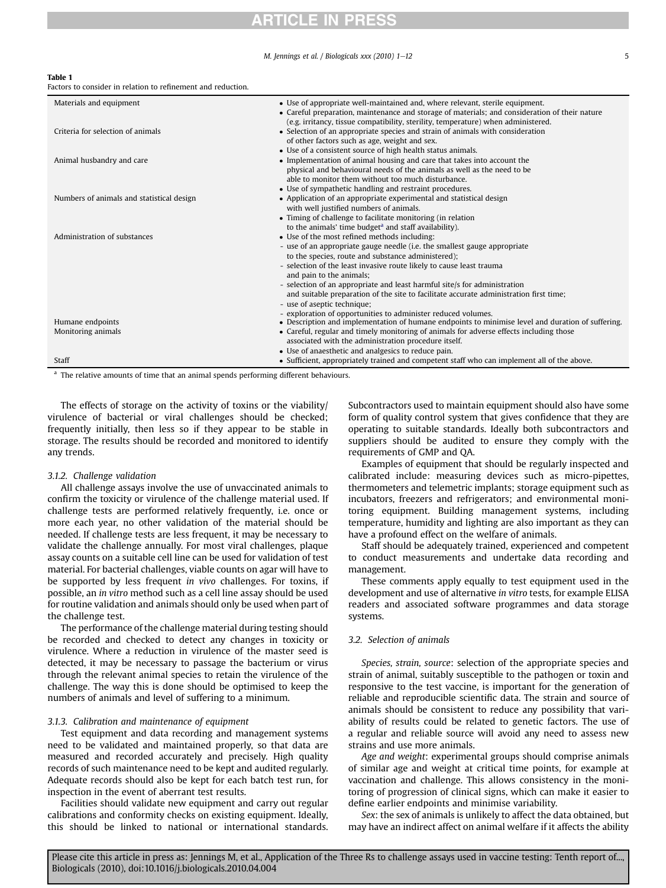#### M. Jennings et al. / Biologicals xxx (2010)  $1-12$  5

#### <span id="page-4-0"></span>Table 1

Factors to consider in relation to refinement and reduction.

| Materials and equipment                   | • Use of appropriate well-maintained and, where relevant, sterile equipment.                                                                                       |
|-------------------------------------------|--------------------------------------------------------------------------------------------------------------------------------------------------------------------|
|                                           | • Careful preparation, maintenance and storage of materials; and consideration of their nature                                                                     |
|                                           | (e.g. irritancy, tissue compatibility, sterility, temperature) when administered.                                                                                  |
| Criteria for selection of animals         | • Selection of an appropriate species and strain of animals with consideration                                                                                     |
|                                           | of other factors such as age, weight and sex.                                                                                                                      |
|                                           | • Use of a consistent source of high health status animals.                                                                                                        |
| Animal husbandry and care                 | • Implementation of animal housing and care that takes into account the                                                                                            |
|                                           | physical and behavioural needs of the animals as well as the need to be                                                                                            |
|                                           | able to monitor them without too much disturbance.                                                                                                                 |
|                                           | • Use of sympathetic handling and restraint procedures.                                                                                                            |
| Numbers of animals and statistical design | • Application of an appropriate experimental and statistical design                                                                                                |
|                                           | with well justified numbers of animals.                                                                                                                            |
|                                           | • Timing of challenge to facilitate monitoring (in relation                                                                                                        |
|                                           | to the animals' time budget <sup>a</sup> and staff availability).                                                                                                  |
| Administration of substances              | • Use of the most refined methods including:                                                                                                                       |
|                                           | - use of an appropriate gauge needle (i.e. the smallest gauge appropriate                                                                                          |
|                                           | to the species, route and substance administered);                                                                                                                 |
|                                           |                                                                                                                                                                    |
|                                           | - selection of the least invasive route likely to cause least trauma                                                                                               |
|                                           | and pain to the animals;<br>- selection of an appropriate and least harmful site/s for administration                                                              |
|                                           |                                                                                                                                                                    |
|                                           | and suitable preparation of the site to facilitate accurate administration first time;                                                                             |
|                                           | - use of aseptic technique;                                                                                                                                        |
| Humane endpoints                          | - exploration of opportunities to administer reduced volumes.<br>• Description and implementation of humane endpoints to minimise level and duration of suffering. |
| Monitoring animals                        |                                                                                                                                                                    |
|                                           | • Careful, regular and timely monitoring of animals for adverse effects including those                                                                            |
|                                           | associated with the administration procedure itself.                                                                                                               |
|                                           | • Use of anaesthetic and analgesics to reduce pain.                                                                                                                |
| Staff                                     | • Sufficient, appropriately trained and competent staff who can implement all of the above.                                                                        |

The relative amounts of time that an animal spends performing different behaviours.

The effects of storage on the activity of toxins or the viability/ virulence of bacterial or viral challenges should be checked; frequently initially, then less so if they appear to be stable in storage. The results should be recorded and monitored to identify any trends.

#### 3.1.2. Challenge validation

All challenge assays involve the use of unvaccinated animals to confirm the toxicity or virulence of the challenge material used. If challenge tests are performed relatively frequently, i.e. once or more each year, no other validation of the material should be needed. If challenge tests are less frequent, it may be necessary to validate the challenge annually. For most viral challenges, plaque assay counts on a suitable cell line can be used for validation of test material. For bacterial challenges, viable counts on agar will have to be supported by less frequent in vivo challenges. For toxins, if possible, an in vitro method such as a cell line assay should be used for routine validation and animals should only be used when part of the challenge test.

The performance of the challenge material during testing should be recorded and checked to detect any changes in toxicity or virulence. Where a reduction in virulence of the master seed is detected, it may be necessary to passage the bacterium or virus through the relevant animal species to retain the virulence of the challenge. The way this is done should be optimised to keep the numbers of animals and level of suffering to a minimum.

### 3.1.3. Calibration and maintenance of equipment

Test equipment and data recording and management systems need to be validated and maintained properly, so that data are measured and recorded accurately and precisely. High quality records of such maintenance need to be kept and audited regularly. Adequate records should also be kept for each batch test run, for inspection in the event of aberrant test results.

Facilities should validate new equipment and carry out regular calibrations and conformity checks on existing equipment. Ideally, this should be linked to national or international standards. Subcontractors used to maintain equipment should also have some form of quality control system that gives confidence that they are operating to suitable standards. Ideally both subcontractors and suppliers should be audited to ensure they comply with the requirements of GMP and QA.

Examples of equipment that should be regularly inspected and calibrated include: measuring devices such as micro-pipettes, thermometers and telemetric implants; storage equipment such as incubators, freezers and refrigerators; and environmental monitoring equipment. Building management systems, including temperature, humidity and lighting are also important as they can have a profound effect on the welfare of animals.

Staff should be adequately trained, experienced and competent to conduct measurements and undertake data recording and management.

These comments apply equally to test equipment used in the development and use of alternative in vitro tests, for example ELISA readers and associated software programmes and data storage systems.

# 3.2. Selection of animals

Species, strain, source: selection of the appropriate species and strain of animal, suitably susceptible to the pathogen or toxin and responsive to the test vaccine, is important for the generation of reliable and reproducible scientific data. The strain and source of animals should be consistent to reduce any possibility that variability of results could be related to genetic factors. The use of a regular and reliable source will avoid any need to assess new strains and use more animals.

Age and weight: experimental groups should comprise animals of similar age and weight at critical time points, for example at vaccination and challenge. This allows consistency in the monitoring of progression of clinical signs, which can make it easier to define earlier endpoints and minimise variability.

Sex: the sex of animals is unlikely to affect the data obtained, but may have an indirect affect on animal welfare if it affects the ability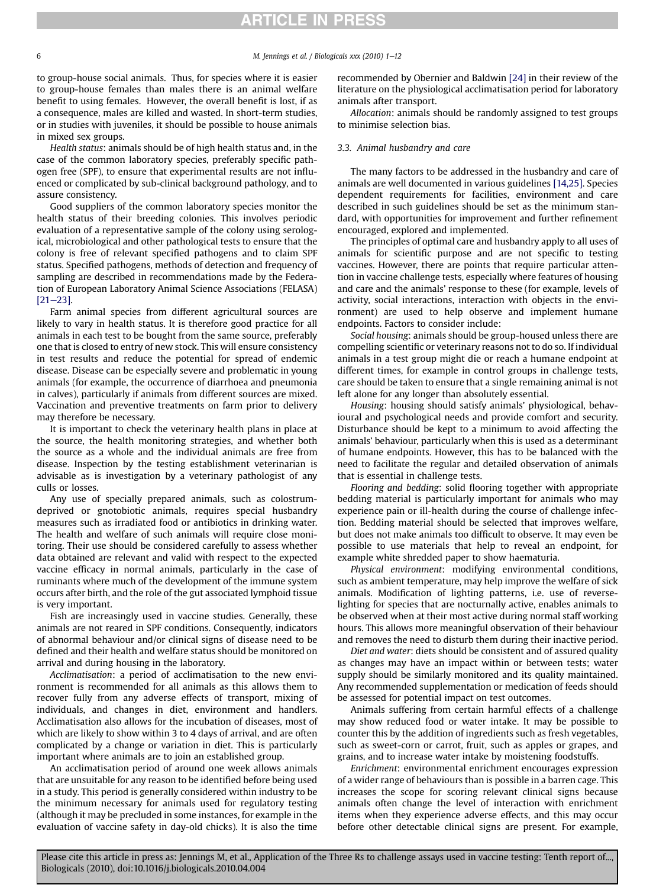#### 6 M. Jennings et al. / Biologicals  $xx(2010)$  1–12

to group-house social animals. Thus, for species where it is easier to group-house females than males there is an animal welfare benefit to using females. However, the overall benefit is lost, if as a consequence, males are killed and wasted. In short-term studies, or in studies with juveniles, it should be possible to house animals in mixed sex groups.

Health status: animals should be of high health status and, in the case of the common laboratory species, preferably specific pathogen free (SPF), to ensure that experimental results are not influenced or complicated by sub-clinical background pathology, and to assure consistency.

Good suppliers of the common laboratory species monitor the health status of their breeding colonies. This involves periodic evaluation of a representative sample of the colony using serological, microbiological and other pathological tests to ensure that the colony is free of relevant specified pathogens and to claim SPF status. Specified pathogens, methods of detection and frequency of sampling are described in recommendations made by the Federation of European Laboratory Animal Science Associations (FELASA)  $[21-23]$  $[21-23]$  $[21-23]$ 

Farm animal species from different agricultural sources are likely to vary in health status. It is therefore good practice for all animals in each test to be bought from the same source, preferably one that is closed to entry of new stock. This will ensure consistency in test results and reduce the potential for spread of endemic disease. Disease can be especially severe and problematic in young animals (for example, the occurrence of diarrhoea and pneumonia in calves), particularly if animals from different sources are mixed. Vaccination and preventive treatments on farm prior to delivery may therefore be necessary.

It is important to check the veterinary health plans in place at the source, the health monitoring strategies, and whether both the source as a whole and the individual animals are free from disease. Inspection by the testing establishment veterinarian is advisable as is investigation by a veterinary pathologist of any culls or losses.

Any use of specially prepared animals, such as colostrumdeprived or gnotobiotic animals, requires special husbandry measures such as irradiated food or antibiotics in drinking water. The health and welfare of such animals will require close monitoring. Their use should be considered carefully to assess whether data obtained are relevant and valid with respect to the expected vaccine efficacy in normal animals, particularly in the case of ruminants where much of the development of the immune system occurs after birth, and the role of the gut associated lymphoid tissue is very important.

Fish are increasingly used in vaccine studies. Generally, these animals are not reared in SPF conditions. Consequently, indicators of abnormal behaviour and/or clinical signs of disease need to be defined and their health and welfare status should be monitored on arrival and during housing in the laboratory.

Acclimatisation: a period of acclimatisation to the new environment is recommended for all animals as this allows them to recover fully from any adverse effects of transport, mixing of individuals, and changes in diet, environment and handlers. Acclimatisation also allows for the incubation of diseases, most of which are likely to show within 3 to 4 days of arrival, and are often complicated by a change or variation in diet. This is particularly important where animals are to join an established group.

An acclimatisation period of around one week allows animals that are unsuitable for any reason to be identified before being used in a study. This period is generally considered within industry to be the minimum necessary for animals used for regulatory testing (although it may be precluded in some instances, for example in the evaluation of vaccine safety in day-old chicks). It is also the time

recommended by Obernier and Baldwin [\[24\]](#page-11-0) in their review of the literature on the physiological acclimatisation period for laboratory animals after transport.

Allocation: animals should be randomly assigned to test groups to minimise selection bias.

#### 3.3. Animal husbandry and care

The many factors to be addressed in the husbandry and care of animals are well documented in various guidelines [\[14,25\]](#page-11-0). Species dependent requirements for facilities, environment and care described in such guidelines should be set as the minimum standard, with opportunities for improvement and further refinement encouraged, explored and implemented.

The principles of optimal care and husbandry apply to all uses of animals for scientific purpose and are not specific to testing vaccines. However, there are points that require particular attention in vaccine challenge tests, especially where features of housing and care and the animals' response to these (for example, levels of activity, social interactions, interaction with objects in the environment) are used to help observe and implement humane endpoints. Factors to consider include:

Social housing: animals should be group-housed unless there are compelling scientific or veterinary reasons not to do so. If individual animals in a test group might die or reach a humane endpoint at different times, for example in control groups in challenge tests, care should be taken to ensure that a single remaining animal is not left alone for any longer than absolutely essential.

Housing: housing should satisfy animals' physiological, behavioural and psychological needs and provide comfort and security. Disturbance should be kept to a minimum to avoid affecting the animals' behaviour, particularly when this is used as a determinant of humane endpoints. However, this has to be balanced with the need to facilitate the regular and detailed observation of animals that is essential in challenge tests.

Flooring and bedding: solid flooring together with appropriate bedding material is particularly important for animals who may experience pain or ill-health during the course of challenge infection. Bedding material should be selected that improves welfare, but does not make animals too difficult to observe. It may even be possible to use materials that help to reveal an endpoint, for example white shredded paper to show haematuria.

Physical environment: modifying environmental conditions, such as ambient temperature, may help improve the welfare of sick animals. Modification of lighting patterns, i.e. use of reverselighting for species that are nocturnally active, enables animals to be observed when at their most active during normal staff working hours. This allows more meaningful observation of their behaviour and removes the need to disturb them during their inactive period.

Diet and water: diets should be consistent and of assured quality as changes may have an impact within or between tests; water supply should be similarly monitored and its quality maintained. Any recommended supplementation or medication of feeds should be assessed for potential impact on test outcomes.

Animals suffering from certain harmful effects of a challenge may show reduced food or water intake. It may be possible to counter this by the addition of ingredients such as fresh vegetables, such as sweet-corn or carrot, fruit, such as apples or grapes, and grains, and to increase water intake by moistening foodstuffs.

Enrichment: environmental enrichment encourages expression of a wider range of behaviours than is possible in a barren cage. This increases the scope for scoring relevant clinical signs because animals often change the level of interaction with enrichment items when they experience adverse effects, and this may occur before other detectable clinical signs are present. For example,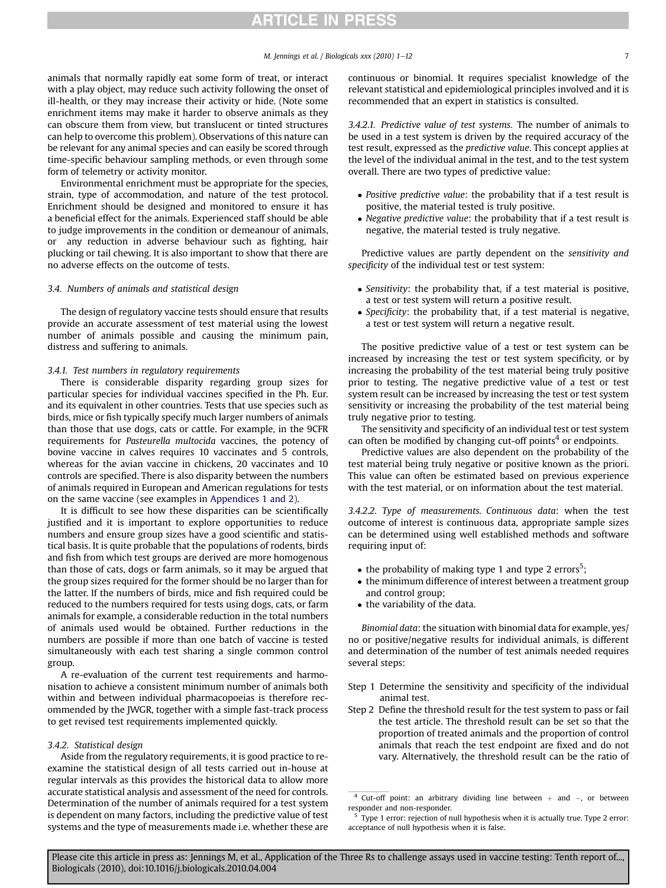#### M. Jennings et al. / Biologicals xxx (2010)  $1-12$

animals that normally rapidly eat some form of treat, or interact with a play object, may reduce such activity following the onset of ill-health, or they may increase their activity or hide. (Note some enrichment items may make it harder to observe animals as they can obscure them from view, but translucent or tinted structures can help to overcome this problem). Observations of this nature can be relevant for any animal species and can easily be scored through time-specific behaviour sampling methods, or even through some form of telemetry or activity monitor.

Environmental enrichment must be appropriate for the species, strain, type of accommodation, and nature of the test protocol. Enrichment should be designed and monitored to ensure it has a beneficial effect for the animals. Experienced staff should be able to judge improvements in the condition or demeanour of animals, or any reduction in adverse behaviour such as fighting, hair plucking or tail chewing. It is also important to show that there are no adverse effects on the outcome of tests.

#### 3.4. Numbers of animals and statistical design

The design of regulatory vaccine tests should ensure that results provide an accurate assessment of test material using the lowest number of animals possible and causing the minimum pain, distress and suffering to animals.

#### 3.4.1. Test numbers in regulatory requirements

There is considerable disparity regarding group sizes for particular species for individual vaccines specified in the Ph. Eur. and its equivalent in other countries. Tests that use species such as birds, mice or fish typically specify much larger numbers of animals than those that use dogs, cats or cattle. For example, in the 9CFR requirements for Pasteurella multocida vaccines, the potency of bovine vaccine in calves requires 10 vaccinates and 5 controls, whereas for the avian vaccine in chickens, 20 vaccinates and 10 controls are specified. There is also disparity between the numbers of animals required in European and American regulations for tests on the same vaccine (see examples in Appendices 1 and 2).

It is difficult to see how these disparities can be scientifically justified and it is important to explore opportunities to reduce numbers and ensure group sizes have a good scientific and statistical basis. It is quite probable that the populations of rodents, birds and fish from which test groups are derived are more homogenous than those of cats, dogs or farm animals, so it may be argued that the group sizes required for the former should be no larger than for the latter. If the numbers of birds, mice and fish required could be reduced to the numbers required for tests using dogs, cats, or farm animals for example, a considerable reduction in the total numbers of animals used would be obtained. Further reductions in the numbers are possible if more than one batch of vaccine is tested simultaneously with each test sharing a single common control group.

A re-evaluation of the current test requirements and harmonisation to achieve a consistent minimum number of animals both within and between individual pharmacopoeias is therefore recommended by the JWGR, together with a simple fast-track process to get revised test requirements implemented quickly.

#### 3.4.2. Statistical design

Aside from the regulatory requirements, it is good practice to reexamine the statistical design of all tests carried out in-house at regular intervals as this provides the historical data to allow more accurate statistical analysis and assessment of the need for controls. Determination of the number of animals required for a test system is dependent on many factors, including the predictive value of test systems and the type of measurements made i.e. whether these are continuous or binomial. It requires specialist knowledge of the relevant statistical and epidemiological principles involved and it is recommended that an expert in statistics is consulted.

3.4.2.1. Predictive value of test systems. The number of animals to be used in a test system is driven by the required accuracy of the test result, expressed as the predictive value. This concept applies at the level of the individual animal in the test, and to the test system overall. There are two types of predictive value:

- Positive predictive value: the probability that if a test result is positive, the material tested is truly positive.
- Negative predictive value: the probability that if a test result is negative, the material tested is truly negative.

Predictive values are partly dependent on the sensitivity and specificity of the individual test or test system:

- Sensitivity: the probability that, if a test material is positive, a test or test system will return a positive result.
- Specificity: the probability that, if a test material is negative, a test or test system will return a negative result.

The positive predictive value of a test or test system can be increased by increasing the test or test system specificity, or by increasing the probability of the test material being truly positive prior to testing. The negative predictive value of a test or test system result can be increased by increasing the test or test system sensitivity or increasing the probability of the test material being truly negative prior to testing.

The sensitivity and specificity of an individual test or test system can often be modified by changing cut-off points $<sup>4</sup>$  or endpoints.</sup>

Predictive values are also dependent on the probability of the test material being truly negative or positive known as the priori. This value can often be estimated based on previous experience with the test material, or on information about the test material.

3.4.2.2. Type of measurements. Continuous data: when the test outcome of interest is continuous data, appropriate sample sizes can be determined using well established methods and software requiring input of:

- the probability of making type 1 and type 2 errors<sup>5</sup>;
- the minimum difference of interest between a treatment group and control group;
- $\bullet$  the variability of the data.

Binomial data: the situation with binomial data for example, yes/ no or positive/negative results for individual animals, is different and determination of the number of test animals needed requires several steps:

- Step 1 Determine the sensitivity and specificity of the individual animal test.
- Step 2 Define the threshold result for the test system to pass or fail the test article. The threshold result can be set so that the proportion of treated animals and the proportion of control animals that reach the test endpoint are fixed and do not vary. Alternatively, the threshold result can be the ratio of

 $4$  Cut-off point: an arbitrary dividing line between  $+$  and  $-$ , or between responder and non-responder.

<sup>5</sup> Type 1 error: rejection of null hypothesis when it is actually true. Type 2 error: acceptance of null hypothesis when it is false.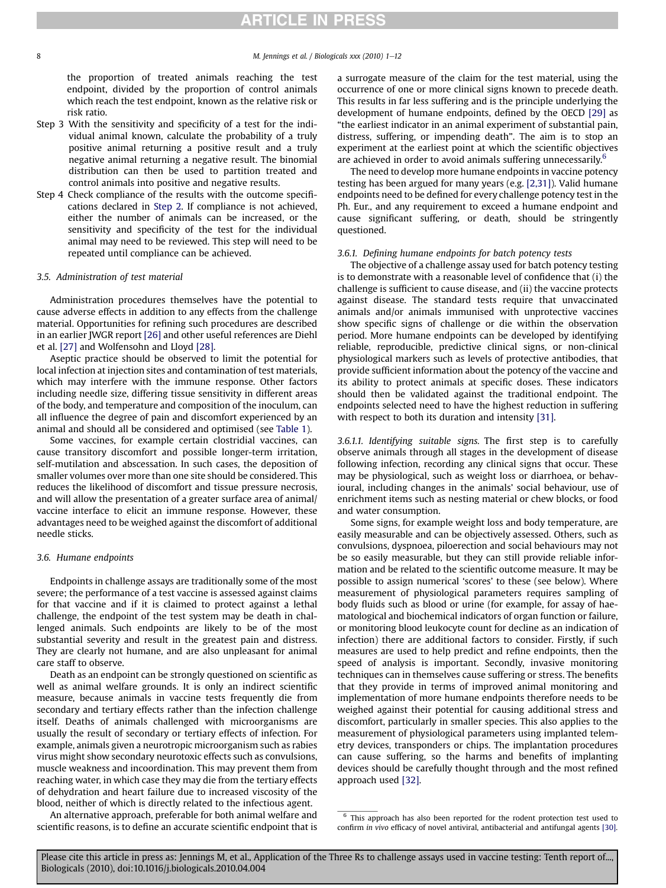<span id="page-7-0"></span>

the proportion of treated animals reaching the test endpoint, divided by the proportion of control animals which reach the test endpoint, known as the relative risk or risk ratio.

- Step 3 With the sensitivity and specificity of a test for the individual animal known, calculate the probability of a truly positive animal returning a positive result and a truly negative animal returning a negative result. The binomial distribution can then be used to partition treated and control animals into positive and negative results.
- Step 4 Check compliance of the results with the outcome specifications declared in Step 2. If compliance is not achieved, either the number of animals can be increased, or the sensitivity and specificity of the test for the individual animal may need to be reviewed. This step will need to be repeated until compliance can be achieved.

# 3.5. Administration of test material

Administration procedures themselves have the potential to cause adverse effects in addition to any effects from the challenge material. Opportunities for refining such procedures are described in an earlier JWGR report [\[26\]](#page-11-0) and other useful references are Diehl et al. [\[27\]](#page-11-0) and Wolfensohn and Lloyd [\[28\].](#page-11-0)

Aseptic practice should be observed to limit the potential for local infection at injection sites and contamination of test materials, which may interfere with the immune response. Other factors including needle size, differing tissue sensitivity in different areas of the body, and temperature and composition of the inoculum, can all influence the degree of pain and discomfort experienced by an animal and should all be considered and optimised (see [Table 1](#page-4-0)).

Some vaccines, for example certain clostridial vaccines, can cause transitory discomfort and possible longer-term irritation, self-mutilation and abscessation. In such cases, the deposition of smaller volumes over more than one site should be considered. This reduces the likelihood of discomfort and tissue pressure necrosis, and will allow the presentation of a greater surface area of animal/ vaccine interface to elicit an immune response. However, these advantages need to be weighed against the discomfort of additional needle sticks.

# 3.6. Humane endpoints

Endpoints in challenge assays are traditionally some of the most severe; the performance of a test vaccine is assessed against claims for that vaccine and if it is claimed to protect against a lethal challenge, the endpoint of the test system may be death in challenged animals. Such endpoints are likely to be of the most substantial severity and result in the greatest pain and distress. They are clearly not humane, and are also unpleasant for animal care staff to observe.

Death as an endpoint can be strongly questioned on scientific as well as animal welfare grounds. It is only an indirect scientific measure, because animals in vaccine tests frequently die from secondary and tertiary effects rather than the infection challenge itself. Deaths of animals challenged with microorganisms are usually the result of secondary or tertiary effects of infection. For example, animals given a neurotropic microorganism such as rabies virus might show secondary neurotoxic effects such as convulsions, muscle weakness and incoordination. This may prevent them from reaching water, in which case they may die from the tertiary effects of dehydration and heart failure due to increased viscosity of the blood, neither of which is directly related to the infectious agent.

An alternative approach, preferable for both animal welfare and scientific reasons, is to define an accurate scientific endpoint that is a surrogate measure of the claim for the test material, using the occurrence of one or more clinical signs known to precede death. This results in far less suffering and is the principle underlying the development of humane endpoints, defined by the OECD [\[29\]](#page-11-0) as "the earliest indicator in an animal experiment of substantial pain, distress, suffering, or impending death". The aim is to stop an experiment at the earliest point at which the scientific objectives are achieved in order to avoid animals suffering unnecessarily.<sup>6</sup>

The need to develop more humane endpoints in vaccine potency testing has been argued for many years (e.g. [\[2,31\]\)](#page-11-0). Valid humane endpoints need to be defined for every challenge potency test in the Ph. Eur., and any requirement to exceed a humane endpoint and cause significant suffering, or death, should be stringently questioned.

# 3.6.1. Defining humane endpoints for batch potency tests

The objective of a challenge assay used for batch potency testing is to demonstrate with a reasonable level of confidence that (i) the challenge is sufficient to cause disease, and (ii) the vaccine protects against disease. The standard tests require that unvaccinated animals and/or animals immunised with unprotective vaccines show specific signs of challenge or die within the observation period. More humane endpoints can be developed by identifying reliable, reproducible, predictive clinical signs, or non-clinical physiological markers such as levels of protective antibodies, that provide sufficient information about the potency of the vaccine and its ability to protect animals at specific doses. These indicators should then be validated against the traditional endpoint. The endpoints selected need to have the highest reduction in suffering with respect to both its duration and intensity [\[31\]](#page-11-0).

3.6.1.1. Identifying suitable signs. The first step is to carefully observe animals through all stages in the development of disease following infection, recording any clinical signs that occur. These may be physiological, such as weight loss or diarrhoea, or behavioural, including changes in the animals' social behaviour, use of enrichment items such as nesting material or chew blocks, or food and water consumption.

Some signs, for example weight loss and body temperature, are easily measurable and can be objectively assessed. Others, such as convulsions, dyspnoea, piloerection and social behaviours may not be so easily measurable, but they can still provide reliable information and be related to the scientific outcome measure. It may be possible to assign numerical 'scores' to these (see below). Where measurement of physiological parameters requires sampling of body fluids such as blood or urine (for example, for assay of haematological and biochemical indicators of organ function or failure, or monitoring blood leukocyte count for decline as an indication of infection) there are additional factors to consider. Firstly, if such measures are used to help predict and refine endpoints, then the speed of analysis is important. Secondly, invasive monitoring techniques can in themselves cause suffering or stress. The benefits that they provide in terms of improved animal monitoring and implementation of more humane endpoints therefore needs to be weighed against their potential for causing additional stress and discomfort, particularly in smaller species. This also applies to the measurement of physiological parameters using implanted telemetry devices, transponders or chips. The implantation procedures can cause suffering, so the harms and benefits of implanting devices should be carefully thought through and the most refined approach used [\[32\].](#page-11-0)

 $6$  This approach has also been reported for the rodent protection test used to confirm in vivo efficacy of novel antiviral, antibacterial and antifungal agents [\[30\].](#page-11-0)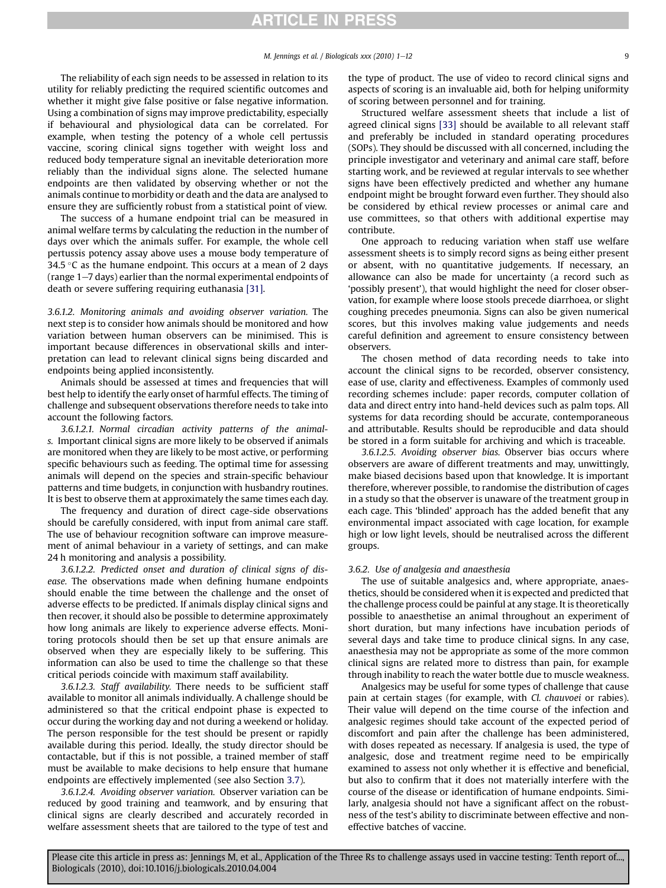#### M. Iennings et al. / Biologicals  $xxx$  (2010) 1–12 9

The reliability of each sign needs to be assessed in relation to its utility for reliably predicting the required scientific outcomes and whether it might give false positive or false negative information. Using a combination of signs may improve predictability, especially if behavioural and physiological data can be correlated. For example, when testing the potency of a whole cell pertussis vaccine, scoring clinical signs together with weight loss and reduced body temperature signal an inevitable deterioration more reliably than the individual signs alone. The selected humane endpoints are then validated by observing whether or not the animals continue to morbidity or death and the data are analysed to ensure they are sufficiently robust from a statistical point of view.

The success of a humane endpoint trial can be measured in animal welfare terms by calculating the reduction in the number of days over which the animals suffer. For example, the whole cell pertussis potency assay above uses a mouse body temperature of 34.5  $\degree$ C as the humane endpoint. This occurs at a mean of 2 days (range  $1-7$  days) earlier than the normal experimental endpoints of death or severe suffering requiring euthanasia [\[31\]](#page-11-0).

3.6.1.2. Monitoring animals and avoiding observer variation. The next step is to consider how animals should be monitored and how variation between human observers can be minimised. This is important because differences in observational skills and interpretation can lead to relevant clinical signs being discarded and endpoints being applied inconsistently.

Animals should be assessed at times and frequencies that will best help to identify the early onset of harmful effects. The timing of challenge and subsequent observations therefore needs to take into account the following factors.

3.6.1.2.1. Normal circadian activity patterns of the animals. Important clinical signs are more likely to be observed if animals are monitored when they are likely to be most active, or performing specific behaviours such as feeding. The optimal time for assessing animals will depend on the species and strain-specific behaviour patterns and time budgets, in conjunction with husbandry routines. It is best to observe them at approximately the same times each day.

The frequency and duration of direct cage-side observations should be carefully considered, with input from animal care staff. The use of behaviour recognition software can improve measurement of animal behaviour in a variety of settings, and can make 24 h monitoring and analysis a possibility.

3.6.1.2.2. Predicted onset and duration of clinical signs of disease. The observations made when defining humane endpoints should enable the time between the challenge and the onset of adverse effects to be predicted. If animals display clinical signs and then recover, it should also be possible to determine approximately how long animals are likely to experience adverse effects. Monitoring protocols should then be set up that ensure animals are observed when they are especially likely to be suffering. This information can also be used to time the challenge so that these critical periods coincide with maximum staff availability.

3.6.1.2.3. Staff availability. There needs to be sufficient staff available to monitor all animals individually. A challenge should be administered so that the critical endpoint phase is expected to occur during the working day and not during a weekend or holiday. The person responsible for the test should be present or rapidly available during this period. Ideally, the study director should be contactable, but if this is not possible, a trained member of staff must be available to make decisions to help ensure that humane endpoints are effectively implemented (see also Section [3.7](#page-9-0)).

3.6.1.2.4. Avoiding observer variation. Observer variation can be reduced by good training and teamwork, and by ensuring that clinical signs are clearly described and accurately recorded in welfare assessment sheets that are tailored to the type of test and the type of product. The use of video to record clinical signs and aspects of scoring is an invaluable aid, both for helping uniformity of scoring between personnel and for training.

Structured welfare assessment sheets that include a list of agreed clinical signs [\[33\]](#page-11-0) should be available to all relevant staff and preferably be included in standard operating procedures (SOPs). They should be discussed with all concerned, including the principle investigator and veterinary and animal care staff, before starting work, and be reviewed at regular intervals to see whether signs have been effectively predicted and whether any humane endpoint might be brought forward even further. They should also be considered by ethical review processes or animal care and use committees, so that others with additional expertise may contribute.

One approach to reducing variation when staff use welfare assessment sheets is to simply record signs as being either present or absent, with no quantitative judgements. If necessary, an allowance can also be made for uncertainty (a record such as 'possibly present'), that would highlight the need for closer observation, for example where loose stools precede diarrhoea, or slight coughing precedes pneumonia. Signs can also be given numerical scores, but this involves making value judgements and needs careful definition and agreement to ensure consistency between observers.

The chosen method of data recording needs to take into account the clinical signs to be recorded, observer consistency, ease of use, clarity and effectiveness. Examples of commonly used recording schemes include: paper records, computer collation of data and direct entry into hand-held devices such as palm tops. All systems for data recording should be accurate, contemporaneous and attributable. Results should be reproducible and data should be stored in a form suitable for archiving and which is traceable.

3.6.1.2.5. Avoiding observer bias. Observer bias occurs where observers are aware of different treatments and may, unwittingly, make biased decisions based upon that knowledge. It is important therefore, wherever possible, to randomise the distribution of cages in a study so that the observer is unaware of the treatment group in each cage. This 'blinded' approach has the added benefit that any environmental impact associated with cage location, for example high or low light levels, should be neutralised across the different groups.

#### 3.6.2. Use of analgesia and anaesthesia

The use of suitable analgesics and, where appropriate, anaesthetics, should be considered when it is expected and predicted that the challenge process could be painful at any stage. It is theoretically possible to anaesthetise an animal throughout an experiment of short duration, but many infections have incubation periods of several days and take time to produce clinical signs. In any case, anaesthesia may not be appropriate as some of the more common clinical signs are related more to distress than pain, for example through inability to reach the water bottle due to muscle weakness.

Analgesics may be useful for some types of challenge that cause pain at certain stages (for example, with Cl. chauvoei or rabies). Their value will depend on the time course of the infection and analgesic regimes should take account of the expected period of discomfort and pain after the challenge has been administered, with doses repeated as necessary. If analgesia is used, the type of analgesic, dose and treatment regime need to be empirically examined to assess not only whether it is effective and beneficial, but also to confirm that it does not materially interfere with the course of the disease or identification of humane endpoints. Similarly, analgesia should not have a significant affect on the robustness of the test's ability to discriminate between effective and noneffective batches of vaccine.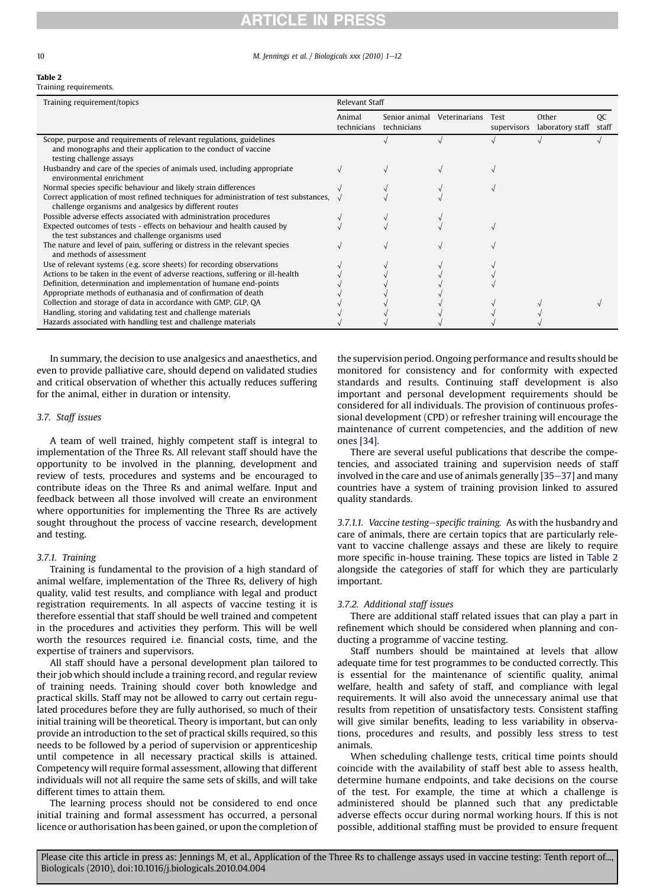<span id="page-9-0"></span>10 M. Jennings et al. / Biologicals xxx (2010) 1-12

#### Table 2

Training requirements.

| Training requirement/topics                                                                                                                                       | Relevant Staff        |                              |               |                     |                           |             |
|-------------------------------------------------------------------------------------------------------------------------------------------------------------------|-----------------------|------------------------------|---------------|---------------------|---------------------------|-------------|
|                                                                                                                                                                   | Animal<br>technicians | Senior animal<br>technicians | Veterinarians | Test<br>supervisors | Other<br>laboratory staff | QC<br>staff |
| Scope, purpose and requirements of relevant regulations, guidelines<br>and monographs and their application to the conduct of vaccine<br>testing challenge assays |                       |                              |               |                     |                           |             |
| Husbandry and care of the species of animals used, including appropriate<br>environmental enrichment                                                              |                       |                              |               |                     |                           |             |
| Normal species specific behaviour and likely strain differences                                                                                                   |                       |                              |               |                     |                           |             |
| Correct application of most refined techniques for administration of test substances,                                                                             |                       |                              |               |                     |                           |             |
| challenge organisms and analgesics by different routes                                                                                                            |                       |                              |               |                     |                           |             |
| Possible adverse effects associated with administration procedures                                                                                                |                       |                              |               |                     |                           |             |
| Expected outcomes of tests - effects on behaviour and health caused by                                                                                            |                       |                              |               |                     |                           |             |
| the test substances and challenge organisms used                                                                                                                  |                       |                              |               |                     |                           |             |
| The nature and level of pain, suffering or distress in the relevant species                                                                                       |                       |                              |               |                     |                           |             |
| and methods of assessment                                                                                                                                         |                       |                              |               |                     |                           |             |
| Use of relevant systems (e.g. score sheets) for recording observations                                                                                            |                       |                              |               |                     |                           |             |
| Actions to be taken in the event of adverse reactions, suffering or ill-health                                                                                    |                       |                              |               |                     |                           |             |
| Definition, determination and implementation of humane end-points                                                                                                 |                       |                              |               |                     |                           |             |
| Appropriate methods of euthanasia and of confirmation of death                                                                                                    |                       |                              |               |                     |                           |             |
| Collection and storage of data in accordance with GMP, GLP, QA                                                                                                    |                       |                              |               |                     |                           |             |
| Handling, storing and validating test and challenge materials                                                                                                     |                       |                              |               |                     |                           |             |
| Hazards associated with handling test and challenge materials                                                                                                     |                       |                              |               |                     |                           |             |

In summary, the decision to use analgesics and anaesthetics, and even to provide palliative care, should depend on validated studies and critical observation of whether this actually reduces suffering for the animal, either in duration or intensity.

# 3.7. Staff issues

A team of well trained, highly competent staff is integral to implementation of the Three Rs. All relevant staff should have the opportunity to be involved in the planning, development and review of tests, procedures and systems and be encouraged to contribute ideas on the Three Rs and animal welfare. Input and feedback between all those involved will create an environment where opportunities for implementing the Three Rs are actively sought throughout the process of vaccine research, development and testing.

#### 3.7.1 Training

Training is fundamental to the provision of a high standard of animal welfare, implementation of the Three Rs, delivery of high quality, valid test results, and compliance with legal and product registration requirements. In all aspects of vaccine testing it is therefore essential that staff should be well trained and competent in the procedures and activities they perform. This will be well worth the resources required i.e. financial costs, time, and the expertise of trainers and supervisors.

All staff should have a personal development plan tailored to their job which should include a training record, and regular review of training needs. Training should cover both knowledge and practical skills. Staff may not be allowed to carry out certain regulated procedures before they are fully authorised, so much of their initial training will be theoretical. Theory is important, but can only provide an introduction to the set of practical skills required, so this needs to be followed by a period of supervision or apprenticeship until competence in all necessary practical skills is attained. Competency will require formal assessment, allowing that different individuals will not all require the same sets of skills, and will take different times to attain them.

The learning process should not be considered to end once initial training and formal assessment has occurred, a personal licence or authorisation has been gained, or upon the completion of the supervision period. Ongoing performance and results should be monitored for consistency and for conformity with expected standards and results. Continuing staff development is also important and personal development requirements should be considered for all individuals. The provision of continuous professional development (CPD) or refresher training will encourage the maintenance of current competencies, and the addition of new ones [\[34\]](#page-11-0).

There are several useful publications that describe the competencies, and associated training and supervision needs of staff involved in the care and use of animals generally  $[35-37]$  $[35-37]$  $[35-37]$  and many countries have a system of training provision linked to assured quality standards.

3.7.1.1. Vaccine testing-specific training. As with the husbandry and care of animals, there are certain topics that are particularly relevant to vaccine challenge assays and these are likely to require more specific in-house training. These topics are listed in Table 2 alongside the categories of staff for which they are particularly important.

#### 3.7.2. Additional staff issues

There are additional staff related issues that can play a part in refinement which should be considered when planning and conducting a programme of vaccine testing.

Staff numbers should be maintained at levels that allow adequate time for test programmes to be conducted correctly. This is essential for the maintenance of scientific quality, animal welfare, health and safety of staff, and compliance with legal requirements. It will also avoid the unnecessary animal use that results from repetition of unsatisfactory tests. Consistent staffing will give similar benefits, leading to less variability in observations, procedures and results, and possibly less stress to test animals.

When scheduling challenge tests, critical time points should coincide with the availability of staff best able to assess health, determine humane endpoints, and take decisions on the course of the test. For example, the time at which a challenge is administered should be planned such that any predictable adverse effects occur during normal working hours. If this is not possible, additional staffing must be provided to ensure frequent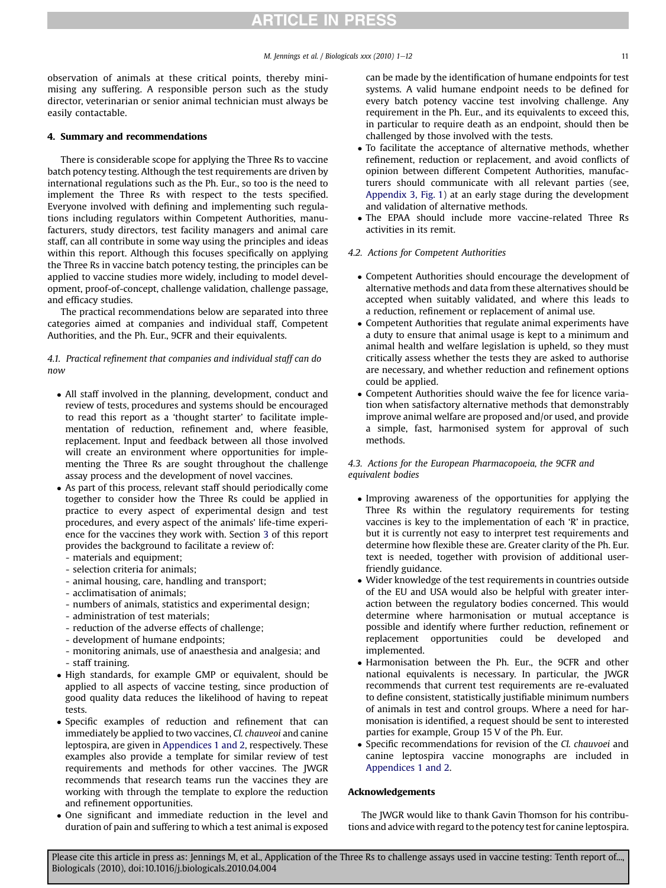observation of animals at these critical points, thereby minimising any suffering. A responsible person such as the study director, veterinarian or senior animal technician must always be easily contactable.

## 4. Summary and recommendations

There is considerable scope for applying the Three Rs to vaccine batch potency testing. Although the test requirements are driven by international regulations such as the Ph. Eur., so too is the need to implement the Three Rs with respect to the tests specified. Everyone involved with defining and implementing such regulations including regulators within Competent Authorities, manufacturers, study directors, test facility managers and animal care staff, can all contribute in some way using the principles and ideas within this report. Although this focuses specifically on applying the Three Rs in vaccine batch potency testing, the principles can be applied to vaccine studies more widely, including to model development, proof-of-concept, challenge validation, challenge passage, and efficacy studies.

The practical recommendations below are separated into three categories aimed at companies and individual staff, Competent Authorities, and the Ph. Eur., 9CFR and their equivalents.

# 4.1. Practical refinement that companies and individual staff can do now

- All staff involved in the planning, development, conduct and review of tests, procedures and systems should be encouraged to read this report as a 'thought starter' to facilitate implementation of reduction, refinement and, where feasible, replacement. Input and feedback between all those involved will create an environment where opportunities for implementing the Three Rs are sought throughout the challenge assay process and the development of novel vaccines.
- As part of this process, relevant staff should periodically come together to consider how the Three Rs could be applied in practice to every aspect of experimental design and test procedures, and every aspect of the animals' life-time experience for the vaccines they work with. Section [3](#page-3-0) of this report provides the background to facilitate a review of:
	- materials and equipment;
	- selection criteria for animals;
	- animal housing, care, handling and transport;
	- acclimatisation of animals;
	- numbers of animals, statistics and experimental design;
	- administration of test materials;
	- reduction of the adverse effects of challenge;
	- development of humane endpoints;
	- monitoring animals, use of anaesthesia and analgesia; and - staff training.
- High standards, for example GMP or equivalent, should be applied to all aspects of vaccine testing, since production of good quality data reduces the likelihood of having to repeat tests.
- Specific examples of reduction and refinement that can immediately be applied to two vaccines, Cl. chauveoi and canine leptospira, are given in Appendices 1 and 2, respectively. These examples also provide a template for similar review of test requirements and methods for other vaccines. The JWGR recommends that research teams run the vaccines they are working with through the template to explore the reduction and refinement opportunities.
- One significant and immediate reduction in the level and duration of pain and suffering to which a test animal is exposed

can be made by the identification of humane endpoints for test systems. A valid humane endpoint needs to be defined for every batch potency vaccine test involving challenge. Any requirement in the Ph. Eur., and its equivalents to exceed this, in particular to require death as an endpoint, should then be challenged by those involved with the tests.

- To facilitate the acceptance of alternative methods, whether refinement, reduction or replacement, and avoid conflicts of opinion between different Competent Authorities, manufacturers should communicate with all relevant parties (see, Appendix 3, Fig. 1) at an early stage during the development and validation of alternative methods.
- The EPAA should include more vaccine-related Three Rs activities in its remit.

# 4.2. Actions for Competent Authorities

- Competent Authorities should encourage the development of alternative methods and data from these alternatives should be accepted when suitably validated, and where this leads to a reduction, refinement or replacement of animal use.
- Competent Authorities that regulate animal experiments have a duty to ensure that animal usage is kept to a minimum and animal health and welfare legislation is upheld, so they must critically assess whether the tests they are asked to authorise are necessary, and whether reduction and refinement options could be applied.
- Competent Authorities should waive the fee for licence variation when satisfactory alternative methods that demonstrably improve animal welfare are proposed and/or used, and provide a simple, fast, harmonised system for approval of such methods.

# 4.3. Actions for the European Pharmacopoeia, the 9CFR and equivalent bodies

- Improving awareness of the opportunities for applying the Three Rs within the regulatory requirements for testing vaccines is key to the implementation of each 'R' in practice, but it is currently not easy to interpret test requirements and determine how flexible these are. Greater clarity of the Ph. Eur. text is needed, together with provision of additional userfriendly guidance.
- Wider knowledge of the test requirements in countries outside of the EU and USA would also be helpful with greater interaction between the regulatory bodies concerned. This would determine where harmonisation or mutual acceptance is possible and identify where further reduction, refinement or replacement opportunities could be developed and implemented.
- Harmonisation between the Ph. Eur., the 9CFR and other national equivalents is necessary. In particular, the JWGR recommends that current test requirements are re-evaluated to define consistent, statistically justifiable minimum numbers of animals in test and control groups. Where a need for harmonisation is identified, a request should be sent to interested parties for example, Group 15 V of the Ph. Eur.
- Specific recommendations for revision of the Cl. chauvoei and canine leptospira vaccine monographs are included in Appendices 1 and 2.

#### Acknowledgements

The JWGR would like to thank Gavin Thomson for his contributions and advice with regard to the potency test for canine leptospira.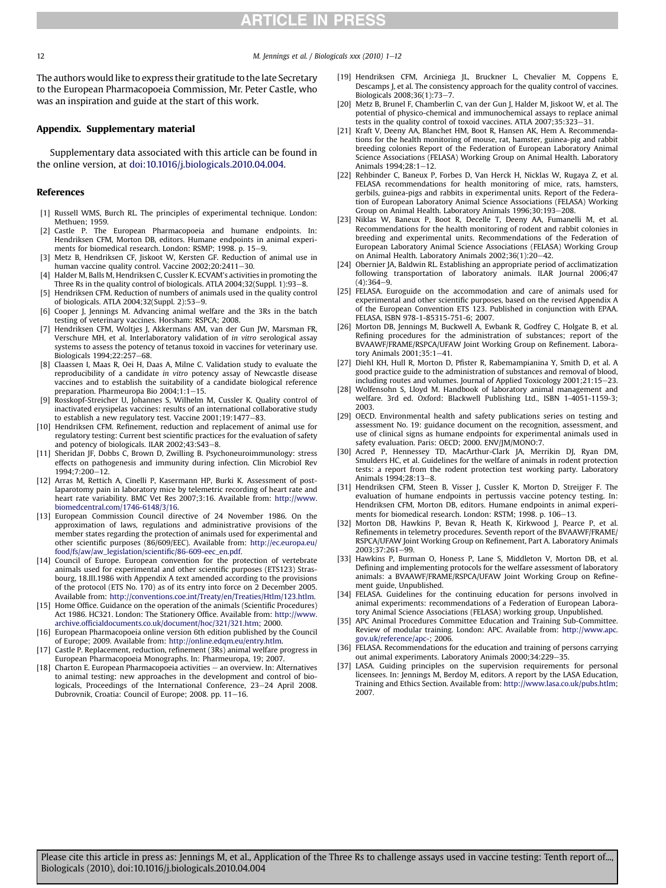<span id="page-11-0"></span>12 M. Jennings et al. / Biologicals xxx (2010) 1–12

The authors would like to express their gratitude to the late Secretary to the European Pharmacopoeia Commission, Mr. Peter Castle, who was an inspiration and guide at the start of this work.

#### Appendix. Supplementary material

Supplementary data associated with this article can be found in the online version, at [doi:10.1016/j.biologicals.2010.04.004.](http://dx.doi.org/10.1016/j.biologicals.2010.04.004)

#### References

- [1] Russell WMS, Burch RL. The principles of experimental technique. London: Methuen; 1959.
- [2] Castle P. The European Pharmacopoeia and humane endpoints. In: Hendriksen CFM, Morton DB, editors. Humane endpoints in animal experiments for biomedical research. London: RSMP; 1998. p. 15-9.
- [3] Metz B, Hendriksen CF, Jiskoot W, Kersten GF. Reduction of animal use in human vaccine quality control. Vaccine  $2002;20:2411-30$ .
- [4] Halder M, Balls M, Hendriksen C, Cussler K. ECVAM's activities in promoting the Three Rs in the quality control of biologicals. ATLA 2004;32(Suppl. 1):93-8.
- [5] Hendriksen CFM. Reduction of numbers of animals used in the quality control of biologicals. ATLA 2004:32(Suppl.  $2$ ):53-9.
- [6] Cooper J, Jennings M, Advancing animal welfare and the 3Rs in the batch testing of veterinary vaccines. Horsham: RSPCA; 2008.
- [7] Hendriksen CFM, Woltjes J, Akkermans AM, van der Gun JW, Marsman FR, Verschure MH, et al. Interlaboratory validation of in vitro serological assay systems to assess the potency of tetanus toxoid in vaccines for veterinary use. Biologicals  $1994;22:257-68$ .
- [8] Claassen I, Maas R, Oei H, Daas A, Milne C. Validation study to evaluate the reproducibility of a candidate in vitro potency assay of Newcastle disease vaccines and to establish the suitability of a candidate biological reference preparation. Pharmeuropa Bio 2004;1:1-15.
- [9] Rosskopf-Streicher U, Johannes S, Wilhelm M, Cussler K. Quality control of inactivated erysipelas vaccines: results of an international collaborative study to establish a new regulatory test. Vaccine  $2001;19:1477-83$ .
- [10] Hendriksen CFM. Refinement, reduction and replacement of animal use for regulatory testing: Current best scientific practices for the evaluation of safety and potency of biologicals. ILAR 2002;43:S43-8.
- [11] Sheridan JF, Dobbs C, Brown D, Zwilling B. Psychoneuroimmunology: stress effects on pathogenesis and immunity during infection. Clin Microbiol Rev  $1994.7.200 - 12$
- [12] Arras M, Rettich A, Cinelli P, Kasermann HP, Burki K. Assessment of postlaparotomy pain in laboratory mice by telemetric recording of heart rate and heart rate variability. BMC Vet Res 2007;3:16. Available from: [http://www.](http://www.biomedcentral.com/1746-6148/3/16) [biomedcentral.com/1746-6148/3/16.](http://www.biomedcentral.com/1746-6148/3/16)
- [13] European Commission Council directive of 24 November 1986. On the approximation of laws, regulations and administrative provisions of the member states regarding the protection of animals used for experimental and other scientific purposes (86/609/EEC). Available from: [http://ec.europa.eu/](http://ec.europa.eu/food/fs/aw/aw_legislation/scientific/86-609-eec_en.pdf) [food/fs/aw/aw\\_legislation/scienti](http://ec.europa.eu/food/fs/aw/aw_legislation/scientific/86-609-eec_en.pdf)fic/86-609-eec\_en.pdf.
- [14] Council of Europe. European convention for the protection of vertebrate animals used for experimental and other scientific purposes (ETS123) Strasbourg, 18.III.1986 with Appendix A text amended according to the provisions of the protocol (ETS No. 170) as of its entry into force on 2 December 2005. Available from: [http://conventions.coe.int/Treaty/en/Treaties/Htlm/123.htlm.](http://conventions.coe.int/Treaty/en/Treaties/Htlm/123.htlm)
- [15] Home Office. Guidance on the operation of the animals (Scientific Procedures) Act 1986. HC321. London: The Stationery Office. Available from: [http://www.](http://www.archive.officialdocuments.co.uk/document/hoc/321/321.htm) archive.offi[cialdocuments.co.uk/document/hoc/321/321.htm](http://www.archive.officialdocuments.co.uk/document/hoc/321/321.htm); 2000.
- [16] European Pharmacopoeia online version 6th edition published by the Council of Europe; 2009. Available from: [http://online.edqm.eu/entry.htlm.](http://online.edqm.eu/entry.htlm)
- Castle P. Replacement, reduction, refinement (3Rs) animal welfare progress in European Pharmacopoeia Monographs. In: Pharmeuropa, 19; 2007.
- [18] Charton E. European Pharmacopoeia activities an overview. In: Alternatives to animal testing: new approaches in the development and control of biologicals, Proceedings of the International Conference, 23-24 April 2008. Dubrovnik, Croatia: Council of Europe; 2008. pp. 11-16.
- [19] Hendriksen CFM, Arciniega JL, Bruckner L, Chevalier M, Coppens E, Descamps J, et al. The consistency approach for the quality control of vaccines. Biologicals 2008:36(1):73-7.
- [20] Metz B, Brunel F, Chamberlin C, van der Gun J, Halder M, Jiskoot W, et al. The potential of physico-chemical and immunochemical assays to replace animal tests in the quality control of toxoid vaccines. ATLA  $2007;35:323-31$ .
- [21] Kraft V, Deeny AA, Blanchet HM, Boot R, Hansen AK, Hem A. Recommendations for the health monitoring of mouse, rat, hamster, guinea-pig and rabbit breeding colonies Report of the Federation of European Laboratory Animal Science Associations (FELASA) Working Group on Animal Health. Laboratory Animals 1994:28:1-12.
- [22] Rehbinder C, Baneux P, Forbes D, Van Herck H, Nicklas W, Rugaya Z, et al. FELASA recommendations for health monitoring of mice, rats, hamsters, gerbils, guinea-pigs and rabbits in experimental units. Report of the Federation of European Laboratory Animal Science Associations (FELASA) Working Group on Animal Health. Laboratory Animals 1996;30:193-208.
- [23] Niklas W, Baneux P, Boot R, Decelle T, Deeny AA, Fumanelli M, et al. Recommendations for the health monitoring of rodent and rabbit colonies in breeding and experimental units. Recommendations of the Federation of European Laboratory Animal Science Associations (FELASA) Working Group on Animal Health. Laboratory Animals 2002;36(1):20-42
- [24] Obernier JA, Baldwin RL. Establishing an appropriate period of acclimatization following transportation of laboratory animals. ILAR Journal 2006;47  $(4)$  $364 - 9$
- [25] FELASA. Euroguide on the accommodation and care of animals used for experimental and other scientific purposes, based on the revised Appendix A of the European Convention ETS 123. Published in conjunction with EPAA. FELASA, ISBN 978-1-85315-751-6; 2007.
- [26] Morton DB, Jennings M, Buckwell A, Ewbank R, Godfrey C, Holgate B, et al. Refining procedures for the administration of substances; report of the BVAAWF/FRAME/RSPCA/UFAW Joint Working Group on Refinement. Laboratory Animals 2001;35:1-41.
- [27] Diehl KH, Hull R, Morton D, Pfister R, Rabemampianina Y, Smith D, et al. A good practice guide to the administration of substances and removal of blood, including routes and volumes. Journal of Applied Toxicology 2001;21:15-23.
- [28] Wolfensohn S, Lloyd M. Handbook of laboratory animal management and welfare. 3rd ed. Oxford: Blackwell Publishing Ltd., ISBN 1-4051-1159-3; 2003.
- [29] OECD. Environmental health and safety publications series on testing and assessment No. 19: guidance document on the recognition, assessment, and use of clinical signs as humane endpoints for experimental animals used in safety evaluation. Paris: OECD; 2000. ENV/JM/MONO:7.
- [30] Acred P, Hennessey TD, MacArthur-Clark JA, Merrikin DJ, Ryan DM, Smulders HC, et al. Guidelines for the welfare of animals in rodent protection tests: a report from the rodent protection test working party. Laboratory Animals 1994;28:13-8.
- [31] Hendriksen CFM, Steen B, Visser J, Cussler K, Morton D, Streijger F. The evaluation of humane endpoints in pertussis vaccine potency testing. In: Hendriksen CFM, Morton DB, editors. Humane endpoints in animal experiments for biomedical research. London: RSTM; 1998. p. 106-13.
- [32] Morton DB, Hawkins P, Bevan R, Heath K, Kirkwood J, Pearce P, et al. Refinements in telemetry procedures. Seventh report of the BVAAWF/FRAME/ RSPCA/UFAW Joint Working Group on Refinement, Part A. Laboratory Animals 2003;37:261-99.
- [33] Hawkins P, Burman O, Honess P, Lane S, Middleton V, Morton DB, et al. Defining and implementing protocols for the welfare assessment of laboratory animals: a BVAAWF/FRAME/RSPCA/UFAW Joint Working Group on Refinement guide, Unpublished.
- [34] FELASA. Guidelines for the continuing education for persons involved in animal experiments: recommendations of a Federation of European Laboratory Animal Science Associations (FELASA) working group, Unpublished.
- [35] APC Animal Procedures Committee Education and Training Sub-Committee. Review of modular training. London: APC. Available from: [http://www.apc.](http://www.apc.gov.uk/reference/apc-) [gov.uk/reference/apc-](http://www.apc.gov.uk/reference/apc-); 2006.
- [36] FELASA. Recommendations for the education and training of persons carrying out animal experiments. Laboratory Animals 2000;34:229-35.
- [37] LASA. Guiding principles on the supervision requirements for personal licensees. In: Jennings M, Berdoy M, editors. A report by the LASA Education, Training and Ethics Section. Available from: [http://www.lasa.co.uk/pubs.htlm;](http://www.lasa.co.uk/pubs.htlm) 2007.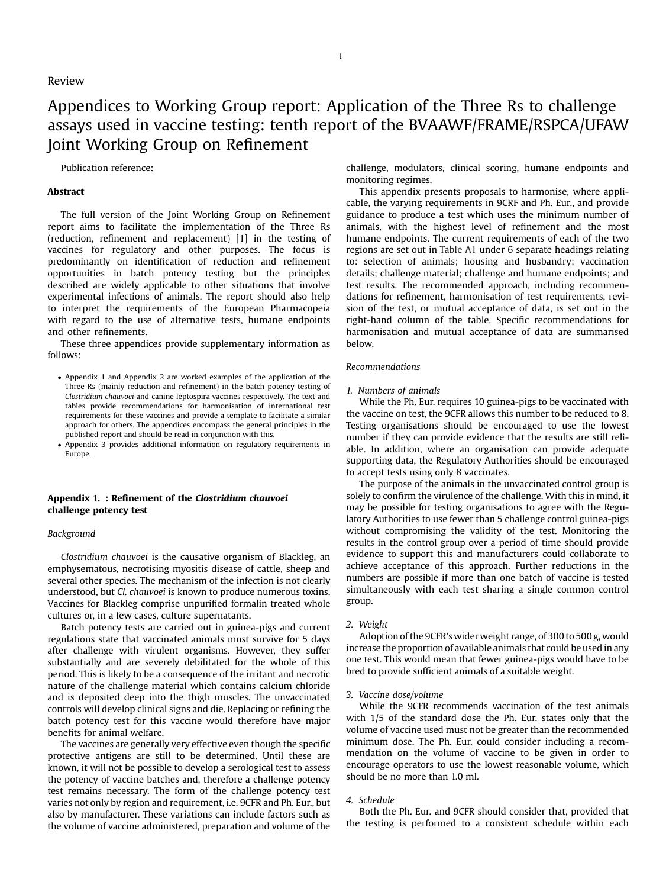# Appendices to Working Group report: Application of the Three Rs to challenge assays used in vaccine testing: tenth report of the BVAAWF/FRAME/RSPCA/UFAW Joint Working Group on Refinement

Publication reference:

### Abstract

The full version of the Joint Working Group on Refinement report aims to facilitate the implementation of the Three Rs (reduction, refinement and replacement) [1] in the testing of vaccines for regulatory and other purposes. The focus is predominantly on identification of reduction and refinement opportunities in batch potency testing but the principles described are widely applicable to other situations that involve experimental infections of animals. The report should also help to interpret the requirements of the European Pharmacopeia with regard to the use of alternative tests, humane endpoints and other refinements.

These three appendices provide supplementary information as follows:

- Appendix 1 and Appendix 2 are worked examples of the application of the Three Rs (mainly reduction and refinement) in the batch potency testing of Clostridium chauvoei and canine leptospira vaccines respectively. The text and tables provide recommendations for harmonisation of international test requirements for these vaccines and provide a template to facilitate a similar approach for others. The appendices encompass the general principles in the published report and should be read in conjunction with this.
- Appendix 3 provides additional information on regulatory requirements in Europe.

# Appendix 1. : Refinement of the Clostridium chauvoei challenge potency test

# Background

Clostridium chauvoei is the causative organism of Blackleg, an emphysematous, necrotising myositis disease of cattle, sheep and several other species. The mechanism of the infection is not clearly understood, but Cl. chauvoei is known to produce numerous toxins. Vaccines for Blackleg comprise unpurified formalin treated whole cultures or, in a few cases, culture supernatants.

Batch potency tests are carried out in guinea-pigs and current regulations state that vaccinated animals must survive for 5 days after challenge with virulent organisms. However, they suffer substantially and are severely debilitated for the whole of this period. This is likely to be a consequence of the irritant and necrotic nature of the challenge material which contains calcium chloride and is deposited deep into the thigh muscles. The unvaccinated controls will develop clinical signs and die. Replacing or refining the batch potency test for this vaccine would therefore have major benefits for animal welfare.

The vaccines are generally very effective even though the specific protective antigens are still to be determined. Until these are known, it will not be possible to develop a serological test to assess the potency of vaccine batches and, therefore a challenge potency test remains necessary. The form of the challenge potency test varies not only by region and requirement, i.e. 9CFR and Ph. Eur., but also by manufacturer. These variations can include factors such as the volume of vaccine administered, preparation and volume of the

challenge, modulators, clinical scoring, humane endpoints and monitoring regimes.

This appendix presents proposals to harmonise, where applicable, the varying requirements in 9CRF and Ph. Eur., and provide guidance to produce a test which uses the minimum number of animals, with the highest level of refinement and the most humane endpoints. The current requirements of each of the two regions are set out in [Table A1](#page-13-0) under 6 separate headings relating to: selection of animals; housing and husbandry; vaccination details; challenge material; challenge and humane endpoints; and test results. The recommended approach, including recommendations for refinement, harmonisation of test requirements, revision of the test, or mutual acceptance of data, is set out in the right-hand column of the table. Specific recommendations for harmonisation and mutual acceptance of data are summarised below.

#### Recommendations

#### 1. Numbers of animals

While the Ph. Eur. requires 10 guinea-pigs to be vaccinated with the vaccine on test, the 9CFR allows this number to be reduced to 8. Testing organisations should be encouraged to use the lowest number if they can provide evidence that the results are still reliable. In addition, where an organisation can provide adequate supporting data, the Regulatory Authorities should be encouraged to accept tests using only 8 vaccinates.

The purpose of the animals in the unvaccinated control group is solely to confirm the virulence of the challenge. With this in mind, it may be possible for testing organisations to agree with the Regulatory Authorities to use fewer than 5 challenge control guinea-pigs without compromising the validity of the test. Monitoring the results in the control group over a period of time should provide evidence to support this and manufacturers could collaborate to achieve acceptance of this approach. Further reductions in the numbers are possible if more than one batch of vaccine is tested simultaneously with each test sharing a single common control group.

#### 2. Weight

Adoption of the 9CFR's wider weight range, of 300 to 500 g, would increase the proportion of available animals that could be used in any one test. This would mean that fewer guinea-pigs would have to be bred to provide sufficient animals of a suitable weight.

#### 3. Vaccine dose/volume

While the 9CFR recommends vaccination of the test animals with 1/5 of the standard dose the Ph. Eur. states only that the volume of vaccine used must not be greater than the recommended minimum dose. The Ph. Eur. could consider including a recommendation on the volume of vaccine to be given in order to encourage operators to use the lowest reasonable volume, which should be no more than 1.0 ml.

# 4. Schedule

Both the Ph. Eur. and 9CFR should consider that, provided that the testing is performed to a consistent schedule within each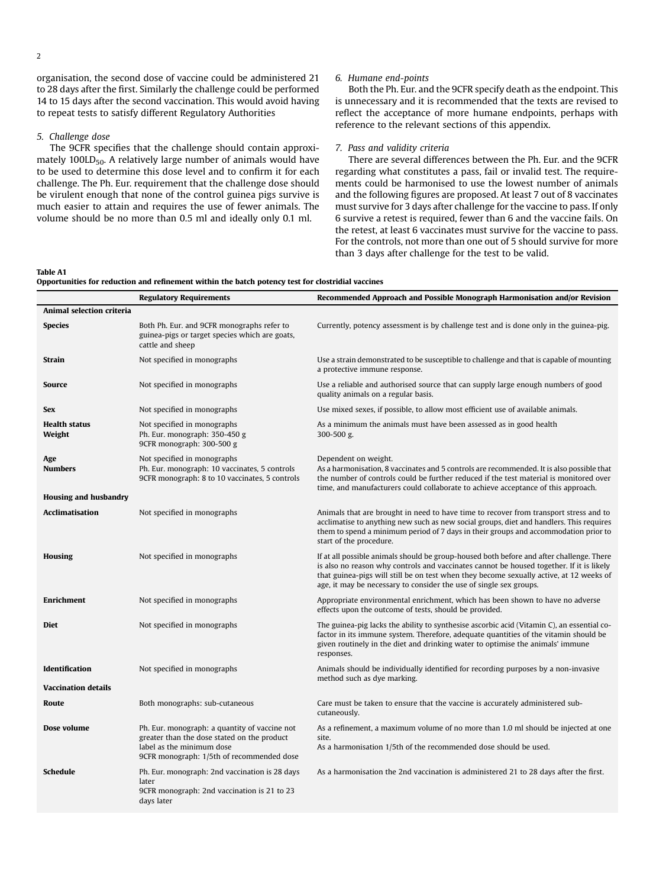<span id="page-13-0"></span>organisation, the second dose of vaccine could be administered 21 to 28 days after the first. Similarly the challenge could be performed 14 to 15 days after the second vaccination. This would avoid having to repeat tests to satisfy different Regulatory Authorities

# 5. Challenge dose

The 9CFR specifies that the challenge should contain approximately 100LD $_{50}$ . A relatively large number of animals would have to be used to determine this dose level and to confirm it for each challenge. The Ph. Eur. requirement that the challenge dose should be virulent enough that none of the control guinea pigs survive is much easier to attain and requires the use of fewer animals. The volume should be no more than 0.5 ml and ideally only 0.1 ml.

# 6. Humane end-points

Both the Ph. Eur. and the 9CFR specify death as the endpoint. This is unnecessary and it is recommended that the texts are revised to reflect the acceptance of more humane endpoints, perhaps with reference to the relevant sections of this appendix.

### 7. Pass and validity criteria

There are several differences between the Ph. Eur. and the 9CFR regarding what constitutes a pass, fail or invalid test. The requirements could be harmonised to use the lowest number of animals and the following figures are proposed. At least 7 out of 8 vaccinates must survive for 3 days after challenge for the vaccine to pass. If only 6 survive a retest is required, fewer than 6 and the vaccine fails. On the retest, at least 6 vaccinates must survive for the vaccine to pass. For the controls, not more than one out of 5 should survive for more than 3 days after challenge for the test to be valid.

Table A1

Opportunities for reduction and refinement within the batch potency test for clostridial vaccines

|                                | <b>Regulatory Requirements</b>                                                                                                                                         | Recommended Approach and Possible Monograph Harmonisation and/or Revision                                                                                                                                                                                                                                                                             |
|--------------------------------|------------------------------------------------------------------------------------------------------------------------------------------------------------------------|-------------------------------------------------------------------------------------------------------------------------------------------------------------------------------------------------------------------------------------------------------------------------------------------------------------------------------------------------------|
| Animal selection criteria      |                                                                                                                                                                        |                                                                                                                                                                                                                                                                                                                                                       |
| <b>Species</b>                 | Both Ph. Eur. and 9CFR monographs refer to<br>guinea-pigs or target species which are goats,<br>cattle and sheep                                                       | Currently, potency assessment is by challenge test and is done only in the guinea-pig.                                                                                                                                                                                                                                                                |
| <b>Strain</b>                  | Not specified in monographs                                                                                                                                            | Use a strain demonstrated to be susceptible to challenge and that is capable of mounting<br>a protective immune response.                                                                                                                                                                                                                             |
| <b>Source</b>                  | Not specified in monographs                                                                                                                                            | Use a reliable and authorised source that can supply large enough numbers of good<br>quality animals on a regular basis.                                                                                                                                                                                                                              |
| <b>Sex</b>                     | Not specified in monographs                                                                                                                                            | Use mixed sexes, if possible, to allow most efficient use of available animals.                                                                                                                                                                                                                                                                       |
| <b>Health status</b><br>Weight | Not specified in monographs<br>Ph. Eur. monograph: 350-450 g<br>9CFR monograph: 300-500 g                                                                              | As a minimum the animals must have been assessed as in good health<br>300-500 g.                                                                                                                                                                                                                                                                      |
| Age<br><b>Numbers</b>          | Not specified in monographs<br>Ph. Eur. monograph: 10 vaccinates, 5 controls<br>9CFR monograph: 8 to 10 vaccinates, 5 controls                                         | Dependent on weight.<br>As a harmonisation, 8 vaccinates and 5 controls are recommended. It is also possible that<br>the number of controls could be further reduced if the test material is monitored over<br>time, and manufacturers could collaborate to achieve acceptance of this approach.                                                      |
| <b>Housing and husbandry</b>   |                                                                                                                                                                        |                                                                                                                                                                                                                                                                                                                                                       |
| Acclimatisation                | Not specified in monographs                                                                                                                                            | Animals that are brought in need to have time to recover from transport stress and to<br>acclimatise to anything new such as new social groups, diet and handlers. This requires<br>them to spend a minimum period of 7 days in their groups and accommodation prior to<br>start of the procedure.                                                    |
| <b>Housing</b>                 | Not specified in monographs                                                                                                                                            | If at all possible animals should be group-housed both before and after challenge. There<br>is also no reason why controls and vaccinates cannot be housed together. If it is likely<br>that guinea-pigs will still be on test when they become sexually active, at 12 weeks of<br>age, it may be necessary to consider the use of single sex groups. |
| <b>Enrichment</b>              | Not specified in monographs                                                                                                                                            | Appropriate environmental enrichment, which has been shown to have no adverse<br>effects upon the outcome of tests, should be provided.                                                                                                                                                                                                               |
| Diet                           | Not specified in monographs                                                                                                                                            | The guinea-pig lacks the ability to synthesise ascorbic acid (Vitamin C), an essential co-<br>factor in its immune system. Therefore, adequate quantities of the vitamin should be<br>given routinely in the diet and drinking water to optimise the animals' immune<br>responses.                                                                    |
| Identification                 | Not specified in monographs                                                                                                                                            | Animals should be individually identified for recording purposes by a non-invasive<br>method such as dye marking.                                                                                                                                                                                                                                     |
| <b>Vaccination details</b>     |                                                                                                                                                                        |                                                                                                                                                                                                                                                                                                                                                       |
| Route                          | Both monographs: sub-cutaneous                                                                                                                                         | Care must be taken to ensure that the vaccine is accurately administered sub-<br>cutaneously.                                                                                                                                                                                                                                                         |
| Dose volume                    | Ph. Eur. monograph: a quantity of vaccine not<br>greater than the dose stated on the product<br>label as the minimum dose<br>9CFR monograph: 1/5th of recommended dose | As a refinement, a maximum volume of no more than 1.0 ml should be injected at one<br>site.<br>As a harmonisation 1/5th of the recommended dose should be used.                                                                                                                                                                                       |
| Schedule                       | Ph. Eur. monograph: 2nd vaccination is 28 days<br>later<br>9CFR monograph: 2nd vaccination is 21 to 23<br>days later                                                   | As a harmonisation the 2nd vaccination is administered 21 to 28 days after the first.                                                                                                                                                                                                                                                                 |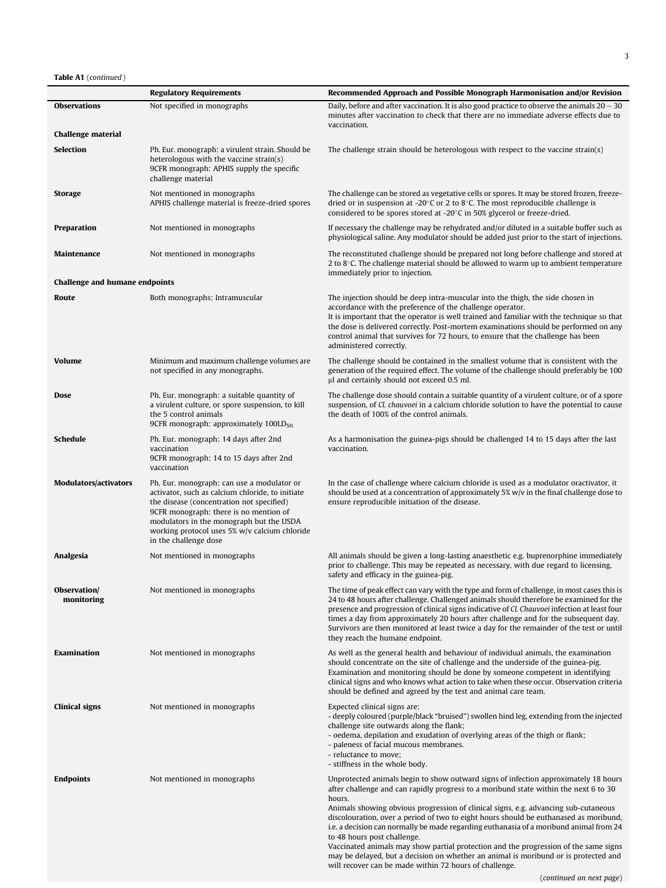|                                       | <b>Regulatory Requirements</b>                                                                                                                                                                                                                                                                              | Recommended Approach and Possible Monograph Harmonisation and/or Revision                                                                                                                                                                                                                                                                                                                                                                                                                                                                                                                                                                                                                                                               |
|---------------------------------------|-------------------------------------------------------------------------------------------------------------------------------------------------------------------------------------------------------------------------------------------------------------------------------------------------------------|-----------------------------------------------------------------------------------------------------------------------------------------------------------------------------------------------------------------------------------------------------------------------------------------------------------------------------------------------------------------------------------------------------------------------------------------------------------------------------------------------------------------------------------------------------------------------------------------------------------------------------------------------------------------------------------------------------------------------------------------|
| <b>Observations</b>                   | Not specified in monographs                                                                                                                                                                                                                                                                                 | Daily, before and after vaccination. It is also good practice to observe the animals $20 - 30$                                                                                                                                                                                                                                                                                                                                                                                                                                                                                                                                                                                                                                          |
|                                       |                                                                                                                                                                                                                                                                                                             | minutes after vaccination to check that there are no immediate adverse effects due to<br>vaccination.                                                                                                                                                                                                                                                                                                                                                                                                                                                                                                                                                                                                                                   |
| Challenge material                    |                                                                                                                                                                                                                                                                                                             |                                                                                                                                                                                                                                                                                                                                                                                                                                                                                                                                                                                                                                                                                                                                         |
| Selection                             | Ph. Eur. monograph: a virulent strain. Should be<br>heterologous with the vaccine strain(s)<br>9CFR monograph: APHIS supply the specific<br>challenge material                                                                                                                                              | The challenge strain should be heterologous with respect to the vaccine strain(s)                                                                                                                                                                                                                                                                                                                                                                                                                                                                                                                                                                                                                                                       |
| <b>Storage</b>                        | Not mentioned in monographs<br>APHIS challenge material is freeze-dried spores                                                                                                                                                                                                                              | The challenge can be stored as vegetative cells or spores. It may be stored frozen, freeze-<br>dried or in suspension at -20 $\degree$ C or 2 to 8 $\degree$ C. The most reproducible challenge is<br>considered to be spores stored at -20°C in 50% glycerol or freeze-dried.                                                                                                                                                                                                                                                                                                                                                                                                                                                          |
| Preparation                           | Not mentioned in monographs                                                                                                                                                                                                                                                                                 | If necessary the challenge may be rehydrated and/or diluted in a suitable buffer such as<br>physiological saline. Any modulator should be added just prior to the start of injections.                                                                                                                                                                                                                                                                                                                                                                                                                                                                                                                                                  |
| Maintenance                           | Not mentioned in monographs                                                                                                                                                                                                                                                                                 | The reconstituted challenge should be prepared not long before challenge and stored at<br>2 to $8^{\circ}$ C. The challenge material should be allowed to warm up to ambient temperature<br>immediately prior to injection.                                                                                                                                                                                                                                                                                                                                                                                                                                                                                                             |
| <b>Challenge and humane endpoints</b> |                                                                                                                                                                                                                                                                                                             |                                                                                                                                                                                                                                                                                                                                                                                                                                                                                                                                                                                                                                                                                                                                         |
| Route                                 | Both monographs: Intramuscular                                                                                                                                                                                                                                                                              | The injection should be deep intra-muscular into the thigh, the side chosen in<br>accordance with the preference of the challenge operator.<br>It is important that the operator is well trained and familiar with the technique so that<br>the dose is delivered correctly. Post-mortem examinations should be performed on any<br>control animal that survives for 72 hours, to ensure that the challenge has been<br>administered correctly.                                                                                                                                                                                                                                                                                         |
| <b>Volume</b>                         | Minimum and maximum challenge volumes are<br>not specified in any monographs.                                                                                                                                                                                                                               | The challenge should be contained in the smallest volume that is consistent with the<br>generation of the required effect. The volume of the challenge should preferably be 100<br>µl and certainly should not exceed 0.5 ml.                                                                                                                                                                                                                                                                                                                                                                                                                                                                                                           |
| Dose                                  | Ph. Eur. monograph: a suitable quantity of<br>a virulent culture, or spore suspension, to kill<br>the 5 control animals<br>9CFR monograph: approximately 100LD <sub>50</sub>                                                                                                                                | The challenge dose should contain a suitable quantity of a virulent culture, or of a spore<br>suspension, of Cl. chauvoei in a calcium chloride solution to have the potential to cause<br>the death of 100% of the control animals.                                                                                                                                                                                                                                                                                                                                                                                                                                                                                                    |
| Schedule                              | Ph. Eur. monograph: 14 days after 2nd<br>vaccination<br>9CFR monograph: 14 to 15 days after 2nd<br>vaccination                                                                                                                                                                                              | As a harmonisation the guinea-pigs should be challenged 14 to 15 days after the last<br>vaccination.                                                                                                                                                                                                                                                                                                                                                                                                                                                                                                                                                                                                                                    |
| <b>Modulators/activators</b>          | Ph. Eur. monograph: can use a modulator or<br>activator, such as calcium chloride, to initiate<br>the disease (concentration not specified)<br>9CFR monograph: there is no mention of<br>modulators in the monograph but the USDA<br>working protocol uses 5% w/v calcium chloride<br>in the challenge dose | In the case of challenge where calcium chloride is used as a modulator oractivator, it<br>should be used at a concentration of approximately 5% w/v in the final challenge dose to<br>ensure reproducible initiation of the disease.                                                                                                                                                                                                                                                                                                                                                                                                                                                                                                    |
| Analgesia                             | Not mentioned in monographs                                                                                                                                                                                                                                                                                 | All animals should be given a long-lasting anaesthetic e.g. buprenorphine immediately<br>prior to challenge. This may be repeated as necessary, with due regard to licensing,<br>safety and efficacy in the guinea-pig.                                                                                                                                                                                                                                                                                                                                                                                                                                                                                                                 |
| Observation/<br>monitoring            | Not mentioned in monographs                                                                                                                                                                                                                                                                                 | The time of peak effect can vary with the type and form of challenge, in most cases this is<br>24 to 48 hours after challenge. Challenged animals should therefore be examined for the<br>presence and progression of clinical signs indicative of Cl. Chauvoei infection at least four<br>times a day from approximately 20 hours after challenge and for the subsequent day.<br>Survivors are then monitored at least twice a day for the remainder of the test or until<br>they reach the humane endpoint.                                                                                                                                                                                                                           |
| Examination                           | Not mentioned in monographs                                                                                                                                                                                                                                                                                 | As well as the general health and behaviour of individual animals, the examination<br>should concentrate on the site of challenge and the underside of the guinea-pig.<br>Examination and monitoring should be done by someone competent in identifying<br>clinical signs and who knows what action to take when these occur. Observation criteria<br>should be defined and agreed by the test and animal care team.                                                                                                                                                                                                                                                                                                                    |
| <b>Clinical signs</b>                 | Not mentioned in monographs                                                                                                                                                                                                                                                                                 | Expected clinical signs are:<br>- deeply coloured (purple/black "bruised") swollen hind leg, extending from the injected<br>challenge site outwards along the flank;<br>- oedema, depilation and exudation of overlying areas of the thigh or flank;<br>- paleness of facial mucous membranes.<br>- reluctance to move;<br>- stiffness in the whole body.                                                                                                                                                                                                                                                                                                                                                                               |
| <b>Endpoints</b>                      | Not mentioned in monographs                                                                                                                                                                                                                                                                                 | Unprotected animals begin to show outward signs of infection approximately 18 hours<br>after challenge and can rapidly progress to a moribund state within the next 6 to 30<br>hours.<br>Animals showing obvious progression of clinical signs, e.g. advancing sub-cutaneous<br>discolouration, over a period of two to eight hours should be euthanased as moribund,<br>i.e. a decision can normally be made regarding euthanasia of a moribund animal from 24<br>to 48 hours post challenge.<br>Vaccinated animals may show partial protection and the progression of the same signs<br>may be delayed, but a decision on whether an animal is moribund or is protected and<br>will recover can be made within 72 hours of challenge. |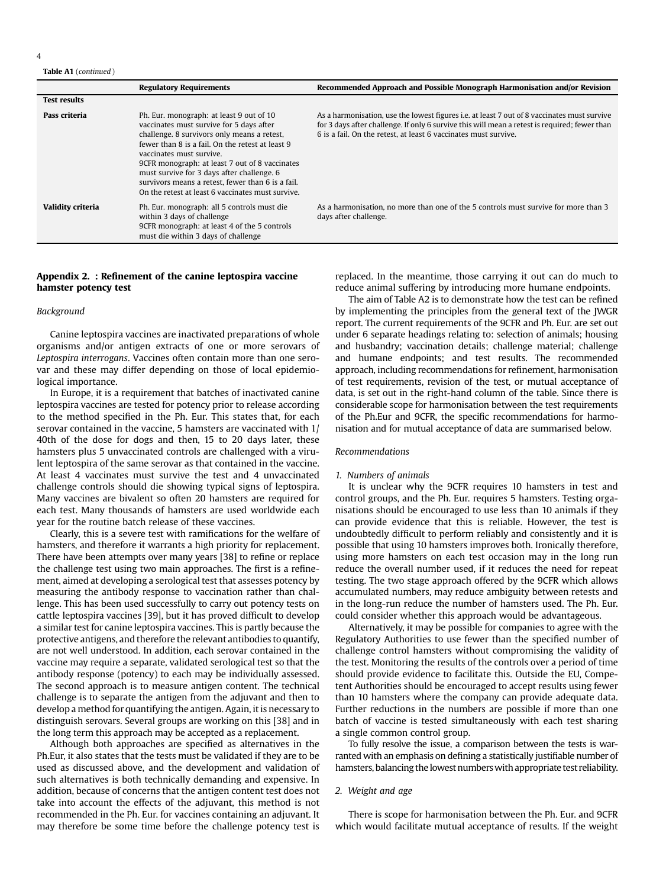Table A1 (continued )

|                     | <b>Regulatory Requirements</b>                                                                                                                                                                                                                                                                                                                                                                                                | Recommended Approach and Possible Monograph Harmonisation and/or Revision                                                                                                                                                                                       |
|---------------------|-------------------------------------------------------------------------------------------------------------------------------------------------------------------------------------------------------------------------------------------------------------------------------------------------------------------------------------------------------------------------------------------------------------------------------|-----------------------------------------------------------------------------------------------------------------------------------------------------------------------------------------------------------------------------------------------------------------|
| <b>Test results</b> |                                                                                                                                                                                                                                                                                                                                                                                                                               |                                                                                                                                                                                                                                                                 |
| Pass criteria       | Ph. Eur. monograph: at least 9 out of 10<br>vaccinates must survive for 5 days after<br>challenge. 8 survivors only means a retest,<br>fewer than 8 is a fail. On the retest at least 9<br>vaccinates must survive.<br>9CFR monograph: at least 7 out of 8 vaccinates<br>must survive for 3 days after challenge, 6<br>survivors means a retest, fewer than 6 is a fail.<br>On the retest at least 6 vaccinates must survive. | As a harmonisation, use the lowest figures i.e. at least 7 out of 8 vaccinates must survive<br>for 3 days after challenge. If only 6 survive this will mean a retest is required; fewer than<br>6 is a fail. On the retest, at least 6 vaccinates must survive. |
| Validity criteria   | Ph. Eur. monograph: all 5 controls must die<br>within 3 days of challenge<br>9CFR monograph: at least 4 of the 5 controls<br>must die within 3 days of challenge                                                                                                                                                                                                                                                              | As a harmonisation, no more than one of the 5 controls must survive for more than 3<br>days after challenge.                                                                                                                                                    |

# Appendix 2. : Refinement of the canine leptospira vaccine hamster potency test

#### Background

Canine leptospira vaccines are inactivated preparations of whole organisms and/or antigen extracts of one or more serovars of Leptospira interrogans. Vaccines often contain more than one serovar and these may differ depending on those of local epidemiological importance.

In Europe, it is a requirement that batches of inactivated canine leptospira vaccines are tested for potency prior to release according to the method specified in the Ph. Eur. This states that, for each serovar contained in the vaccine, 5 hamsters are vaccinated with 1/ 40th of the dose for dogs and then, 15 to 20 days later, these hamsters plus 5 unvaccinated controls are challenged with a virulent leptospira of the same serovar as that contained in the vaccine. At least 4 vaccinates must survive the test and 4 unvaccinated challenge controls should die showing typical signs of leptospira. Many vaccines are bivalent so often 20 hamsters are required for each test. Many thousands of hamsters are used worldwide each year for the routine batch release of these vaccines.

Clearly, this is a severe test with ramifications for the welfare of hamsters, and therefore it warrants a high priority for replacement. There have been attempts over many years [38] to refine or replace the challenge test using two main approaches. The first is a refinement, aimed at developing a serological test that assesses potency by measuring the antibody response to vaccination rather than challenge. This has been used successfully to carry out potency tests on cattle leptospira vaccines [39], but it has proved difficult to develop a similar test for canine leptospira vaccines. This is partly because the protective antigens, and therefore the relevant antibodies to quantify, are not well understood. In addition, each serovar contained in the vaccine may require a separate, validated serological test so that the antibody response (potency) to each may be individually assessed. The second approach is to measure antigen content. The technical challenge is to separate the antigen from the adjuvant and then to develop a method for quantifying the antigen. Again, it is necessary to distinguish serovars. Several groups are working on this [38] and in the long term this approach may be accepted as a replacement.

Although both approaches are specified as alternatives in the Ph.Eur, it also states that the tests must be validated if they are to be used as discussed above, and the development and validation of such alternatives is both technically demanding and expensive. In addition, because of concerns that the antigen content test does not take into account the effects of the adjuvant, this method is not recommended in the Ph. Eur. for vaccines containing an adjuvant. It may therefore be some time before the challenge potency test is

replaced. In the meantime, those carrying it out can do much to reduce animal suffering by introducing more humane endpoints.

The aim of Table A2 is to demonstrate how the test can be refined by implementing the principles from the general text of the JWGR report. The current requirements of the 9CFR and Ph. Eur. are set out under 6 separate headings relating to: selection of animals; housing and husbandry; vaccination details; challenge material; challenge and humane endpoints; and test results. The recommended approach, including recommendations for refinement, harmonisation of test requirements, revision of the test, or mutual acceptance of data, is set out in the right-hand column of the table. Since there is considerable scope for harmonisation between the test requirements of the Ph.Eur and 9CFR, the specific recommendations for harmonisation and for mutual acceptance of data are summarised below.

### Recommendations

#### 1. Numbers of animals

It is unclear why the 9CFR requires 10 hamsters in test and control groups, and the Ph. Eur. requires 5 hamsters. Testing organisations should be encouraged to use less than 10 animals if they can provide evidence that this is reliable. However, the test is undoubtedly difficult to perform reliably and consistently and it is possible that using 10 hamsters improves both. Ironically therefore, using more hamsters on each test occasion may in the long run reduce the overall number used, if it reduces the need for repeat testing. The two stage approach offered by the 9CFR which allows accumulated numbers, may reduce ambiguity between retests and in the long-run reduce the number of hamsters used. The Ph. Eur. could consider whether this approach would be advantageous.

Alternatively, it may be possible for companies to agree with the Regulatory Authorities to use fewer than the specified number of challenge control hamsters without compromising the validity of the test. Monitoring the results of the controls over a period of time should provide evidence to facilitate this. Outside the EU, Competent Authorities should be encouraged to accept results using fewer than 10 hamsters where the company can provide adequate data. Further reductions in the numbers are possible if more than one batch of vaccine is tested simultaneously with each test sharing a single common control group.

To fully resolve the issue, a comparison between the tests is warranted with an emphasis on defining a statistically justifiable number of hamsters, balancing the lowest numbers with appropriate test reliability.

#### 2. Weight and age

There is scope for harmonisation between the Ph. Eur. and 9CFR which would facilitate mutual acceptance of results. If the weight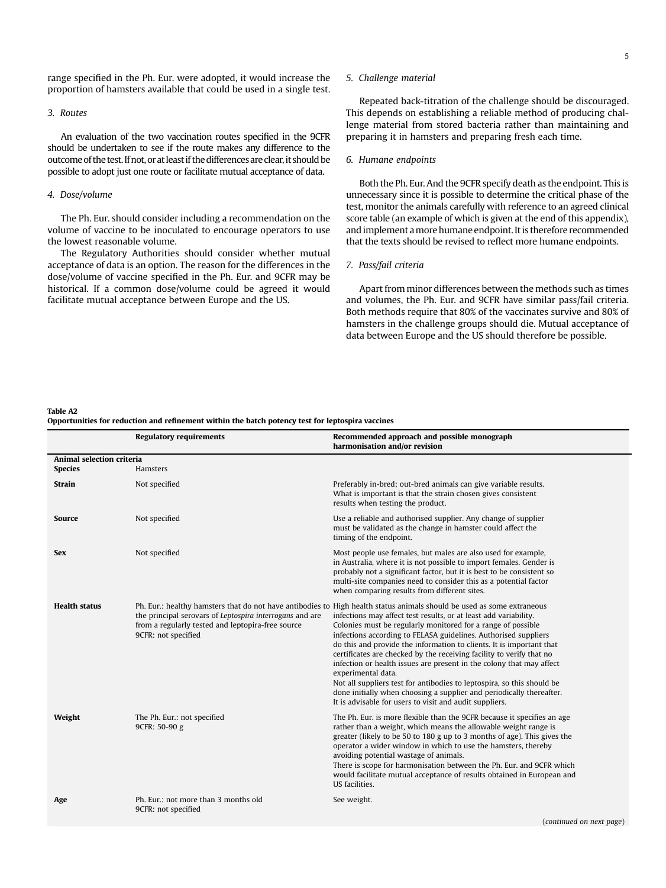range specified in the Ph. Eur. were adopted, it would increase the proportion of hamsters available that could be used in a single test.

# 3. Routes

An evaluation of the two vaccination routes specified in the 9CFR should be undertaken to see if the route makes any difference to the outcome of the test. If not, or at least if the differences are clear, it should be possible to adopt just one route or facilitate mutual acceptance of data.

#### 4. Dose/volume

The Ph. Eur. should consider including a recommendation on the volume of vaccine to be inoculated to encourage operators to use the lowest reasonable volume.

The Regulatory Authorities should consider whether mutual acceptance of data is an option. The reason for the differences in the dose/volume of vaccine specified in the Ph. Eur. and 9CFR may be historical. If a common dose/volume could be agreed it would facilitate mutual acceptance between Europe and the US.

# 5. Challenge material

Repeated back-titration of the challenge should be discouraged. This depends on establishing a reliable method of producing challenge material from stored bacteria rather than maintaining and preparing it in hamsters and preparing fresh each time.

#### 6. Humane endpoints

Both the Ph. Eur. And the 9CFR specify death as the endpoint. This is unnecessary since it is possible to determine the critical phase of the test, monitor the animals carefully with reference to an agreed clinical score table (an example of which is given at the end of this appendix), and implement a more humane endpoint. It is therefore recommended that the texts should be revised to reflect more humane endpoints.

# 7. Pass/fail criteria

Apart from minor differences between the methods such as times and volumes, the Ph. Eur. and 9CFR have similar pass/fail criteria. Both methods require that 80% of the vaccinates survive and 80% of hamsters in the challenge groups should die. Mutual acceptance of data between Europe and the US should therefore be possible.

Table A2

Opportunities for reduction and refinement within the batch potency test for leptospira vaccines

|                                             | <b>Regulatory requirements</b>                                                                                                       | Recommended approach and possible monograph<br>harmonisation and/or revision                                                                                                                                                                                                                                                                                                                                                                                                                                                                                                                                                                                                                                                                                                             |
|---------------------------------------------|--------------------------------------------------------------------------------------------------------------------------------------|------------------------------------------------------------------------------------------------------------------------------------------------------------------------------------------------------------------------------------------------------------------------------------------------------------------------------------------------------------------------------------------------------------------------------------------------------------------------------------------------------------------------------------------------------------------------------------------------------------------------------------------------------------------------------------------------------------------------------------------------------------------------------------------|
| Animal selection criteria<br><b>Species</b> | Hamsters                                                                                                                             |                                                                                                                                                                                                                                                                                                                                                                                                                                                                                                                                                                                                                                                                                                                                                                                          |
| <b>Strain</b>                               | Not specified                                                                                                                        | Preferably in-bred; out-bred animals can give variable results.<br>What is important is that the strain chosen gives consistent<br>results when testing the product.                                                                                                                                                                                                                                                                                                                                                                                                                                                                                                                                                                                                                     |
| <b>Source</b>                               | Not specified                                                                                                                        | Use a reliable and authorised supplier. Any change of supplier<br>must be validated as the change in hamster could affect the<br>timing of the endpoint.                                                                                                                                                                                                                                                                                                                                                                                                                                                                                                                                                                                                                                 |
| <b>Sex</b>                                  | Not specified                                                                                                                        | Most people use females, but males are also used for example,<br>in Australia, where it is not possible to import females. Gender is<br>probably not a significant factor, but it is best to be consistent so<br>multi-site companies need to consider this as a potential factor<br>when comparing results from different sites.                                                                                                                                                                                                                                                                                                                                                                                                                                                        |
| <b>Health status</b>                        | the principal serovars of Leptospira interrogans and are<br>from a regularly tested and leptopira-free source<br>9CFR: not specified | Ph. Eur.: healthy hamsters that do not have antibodies to High health status animals should be used as some extraneous<br>infections may affect test results, or at least add variability.<br>Colonies must be regularly monitored for a range of possible<br>infections according to FELASA guidelines. Authorised suppliers<br>do this and provide the information to clients. It is important that<br>certificates are checked by the receiving facility to verify that no<br>infection or health issues are present in the colony that may affect<br>experimental data.<br>Not all suppliers test for antibodies to leptospira, so this should be<br>done initially when choosing a supplier and periodically thereafter.<br>It is advisable for users to visit and audit suppliers. |
| Weight                                      | The Ph. Eur.: not specified<br>9CFR: 50-90 g                                                                                         | The Ph. Eur. is more flexible than the 9CFR because it specifies an age<br>rather than a weight, which means the allowable weight range is<br>greater (likely to be 50 to 180 g up to 3 months of age). This gives the<br>operator a wider window in which to use the hamsters, thereby<br>avoiding potential wastage of animals.<br>There is scope for harmonisation between the Ph. Eur. and 9CFR which<br>would facilitate mutual acceptance of results obtained in European and<br>US facilities.                                                                                                                                                                                                                                                                                    |
| Age                                         | Ph. Eur.: not more than 3 months old<br>9CFR: not specified                                                                          | See weight.<br>$(continued \text{ on } next \text{ no})$                                                                                                                                                                                                                                                                                                                                                                                                                                                                                                                                                                                                                                                                                                                                 |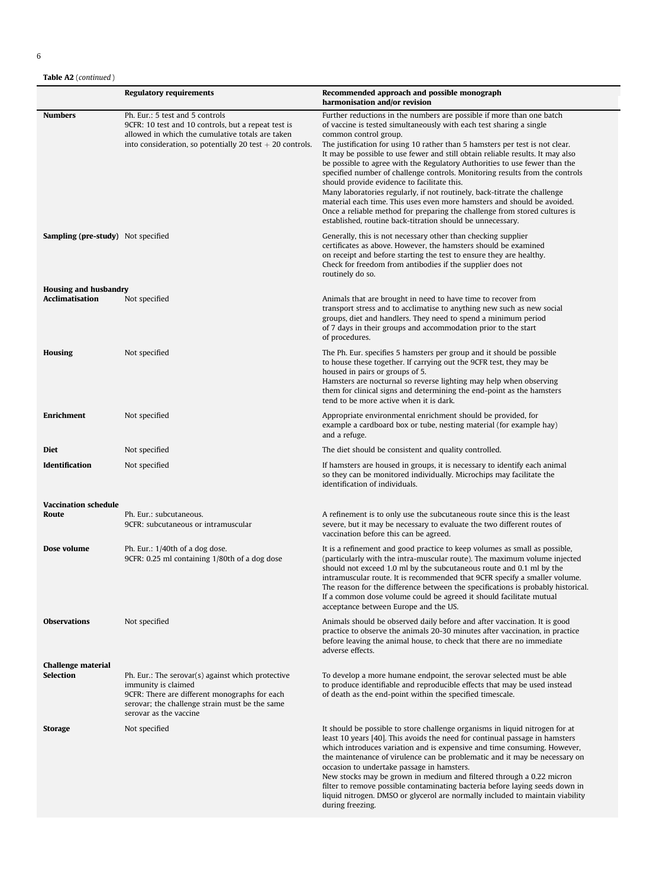Table A2 (continued)

|                                           | <b>Regulatory requirements</b>                                                                                                                                                                            | Recommended approach and possible monograph<br>harmonisation and/or revision                                                                                                                                                                                                                                                                                                                                                                                                                                                                                                                                                                                                                                                                                                                                                                             |
|-------------------------------------------|-----------------------------------------------------------------------------------------------------------------------------------------------------------------------------------------------------------|----------------------------------------------------------------------------------------------------------------------------------------------------------------------------------------------------------------------------------------------------------------------------------------------------------------------------------------------------------------------------------------------------------------------------------------------------------------------------------------------------------------------------------------------------------------------------------------------------------------------------------------------------------------------------------------------------------------------------------------------------------------------------------------------------------------------------------------------------------|
| <b>Numbers</b>                            | Ph. Eur.: 5 test and 5 controls<br>9CFR: 10 test and 10 controls, but a repeat test is<br>allowed in which the cumulative totals are taken<br>into consideration, so potentially 20 test $+$ 20 controls. | Further reductions in the numbers are possible if more than one batch<br>of vaccine is tested simultaneously with each test sharing a single<br>common control group.<br>The justification for using 10 rather than 5 hamsters per test is not clear.<br>It may be possible to use fewer and still obtain reliable results. It may also<br>be possible to agree with the Regulatory Authorities to use fewer than the<br>specified number of challenge controls. Monitoring results from the controls<br>should provide evidence to facilitate this.<br>Many laboratories regularly, if not routinely, back-titrate the challenge<br>material each time. This uses even more hamsters and should be avoided.<br>Once a reliable method for preparing the challenge from stored cultures is<br>established, routine back-titration should be unnecessary. |
| <b>Sampling (pre-study)</b> Not specified |                                                                                                                                                                                                           | Generally, this is not necessary other than checking supplier<br>certificates as above. However, the hamsters should be examined<br>on receipt and before starting the test to ensure they are healthy.<br>Check for freedom from antibodies if the supplier does not<br>routinely do so.                                                                                                                                                                                                                                                                                                                                                                                                                                                                                                                                                                |
| <b>Housing and husbandry</b>              |                                                                                                                                                                                                           |                                                                                                                                                                                                                                                                                                                                                                                                                                                                                                                                                                                                                                                                                                                                                                                                                                                          |
| Acclimatisation                           | Not specified                                                                                                                                                                                             | Animals that are brought in need to have time to recover from<br>transport stress and to acclimatise to anything new such as new social<br>groups, diet and handlers. They need to spend a minimum period<br>of 7 days in their groups and accommodation prior to the start<br>of procedures.                                                                                                                                                                                                                                                                                                                                                                                                                                                                                                                                                            |
| <b>Housing</b>                            | Not specified                                                                                                                                                                                             | The Ph. Eur. specifies 5 hamsters per group and it should be possible<br>to house these together. If carrying out the 9CFR test, they may be<br>housed in pairs or groups of 5.<br>Hamsters are nocturnal so reverse lighting may help when observing<br>them for clinical signs and determining the end-point as the hamsters<br>tend to be more active when it is dark.                                                                                                                                                                                                                                                                                                                                                                                                                                                                                |
| Enrichment                                | Not specified                                                                                                                                                                                             | Appropriate environmental enrichment should be provided, for<br>example a cardboard box or tube, nesting material (for example hay)<br>and a refuge.                                                                                                                                                                                                                                                                                                                                                                                                                                                                                                                                                                                                                                                                                                     |
| <b>Diet</b>                               | Not specified                                                                                                                                                                                             | The diet should be consistent and quality controlled.                                                                                                                                                                                                                                                                                                                                                                                                                                                                                                                                                                                                                                                                                                                                                                                                    |
| Identification                            | Not specified                                                                                                                                                                                             | If hamsters are housed in groups, it is necessary to identify each animal<br>so they can be monitored individually. Microchips may facilitate the<br>identification of individuals.                                                                                                                                                                                                                                                                                                                                                                                                                                                                                                                                                                                                                                                                      |
| <b>Vaccination schedule</b>               |                                                                                                                                                                                                           |                                                                                                                                                                                                                                                                                                                                                                                                                                                                                                                                                                                                                                                                                                                                                                                                                                                          |
| Route                                     | Ph. Eur.: subcutaneous.<br>9CFR: subcutaneous or intramuscular                                                                                                                                            | A refinement is to only use the subcutaneous route since this is the least<br>severe, but it may be necessary to evaluate the two different routes of<br>vaccination before this can be agreed.                                                                                                                                                                                                                                                                                                                                                                                                                                                                                                                                                                                                                                                          |
| Dose volume                               | Ph. Eur.: 1/40th of a dog dose.<br>9CFR: 0.25 ml containing 1/80th of a dog dose                                                                                                                          | It is a refinement and good practice to keep volumes as small as possible,<br>(particularly with the intra-muscular route). The maximum volume injected<br>should not exceed 1.0 ml by the subcutaneous route and 0.1 ml by the<br>intramuscular route. It is recommended that 9CFR specify a smaller volume.<br>The reason for the difference between the specifications is probably historical.<br>If a common dose volume could be agreed it should facilitate mutual<br>acceptance between Europe and the US.                                                                                                                                                                                                                                                                                                                                        |
| <b>Observations</b>                       | Not specified                                                                                                                                                                                             | Animals should be observed daily before and after vaccination. It is good<br>practice to observe the animals 20-30 minutes after vaccination, in practice<br>before leaving the animal house, to check that there are no immediate<br>adverse effects.                                                                                                                                                                                                                                                                                                                                                                                                                                                                                                                                                                                                   |
| Challenge material<br><b>Selection</b>    | Ph. Eur.: The serovar(s) against which protective<br>immunity is claimed<br>9CFR: There are different monographs for each<br>serovar; the challenge strain must be the same<br>serovar as the vaccine     | To develop a more humane endpoint, the serovar selected must be able<br>to produce identifiable and reproducible effects that may be used instead<br>of death as the end-point within the specified timescale.                                                                                                                                                                                                                                                                                                                                                                                                                                                                                                                                                                                                                                           |
| Storage                                   | Not specified                                                                                                                                                                                             | It should be possible to store challenge organisms in liquid nitrogen for at<br>least 10 years [40]. This avoids the need for continual passage in hamsters<br>which introduces variation and is expensive and time consuming. However,<br>the maintenance of virulence can be problematic and it may be necessary on<br>occasion to undertake passage in hamsters.<br>New stocks may be grown in medium and filtered through a 0.22 micron<br>filter to remove possible contaminating bacteria before laying seeds down in<br>liquid nitrogen. DMSO or glycerol are normally included to maintain viability<br>during freezing.                                                                                                                                                                                                                         |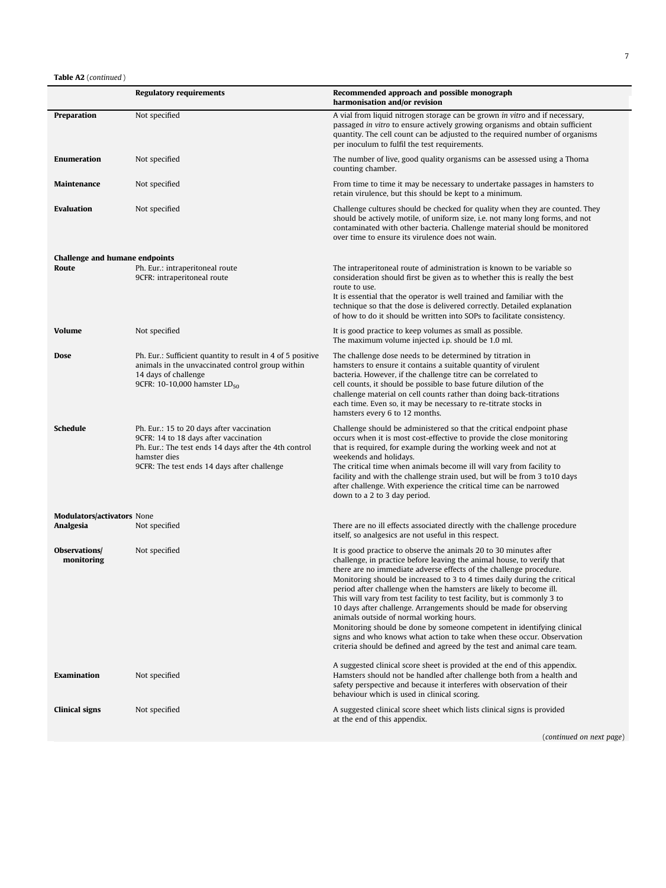| <b>Table A2</b> (continued) |                                                                                                                                                                                                                                                                                                                                    |                                                                                                                                                                                                                                                                                              |
|-----------------------------|------------------------------------------------------------------------------------------------------------------------------------------------------------------------------------------------------------------------------------------------------------------------------------------------------------------------------------|----------------------------------------------------------------------------------------------------------------------------------------------------------------------------------------------------------------------------------------------------------------------------------------------|
|                             | <b>Regulatory requirements</b>                                                                                                                                                                                                                                                                                                     | Recommended approach and possible monograph<br>harmonisation and/or revision                                                                                                                                                                                                                 |
| Preparation                 | Not specified                                                                                                                                                                                                                                                                                                                      | A vial from liquid nitrogen storage can be grown in vitro and if necessary.<br>passaged in vitro to ensure actively growing organisms and obtain sufficient<br>quantity. The cell count can be adjusted to the required number of organisms<br>per inoculum to fulfil the test requirements. |
| Enumeration                 | Not specified                                                                                                                                                                                                                                                                                                                      | The number of live, good quality organisms can be assessed using a Thoma<br>counting chamber.                                                                                                                                                                                                |
| $\cdots$                    | $\mathbf{v}$ $\mathbf{v}$ $\mathbf{v}$ $\mathbf{v}$ $\mathbf{v}$ $\mathbf{v}$ $\mathbf{v}$ $\mathbf{v}$ $\mathbf{v}$ $\mathbf{v}$ $\mathbf{v}$ $\mathbf{v}$ $\mathbf{v}$ $\mathbf{v}$ $\mathbf{v}$ $\mathbf{v}$ $\mathbf{v}$ $\mathbf{v}$ $\mathbf{v}$ $\mathbf{v}$ $\mathbf{v}$ $\mathbf{v}$ $\mathbf{v}$ $\mathbf{v}$ $\mathbf{$ |                                                                                                                                                                                                                                                                                              |

**Maintenance** Not specified **From time to time it may be necessary to undertake passages in hamsters to the set of the set of the set of the set of the set of the set of the set of the set of the set of the set of the set** retain virulence, but this should be kept to a minimum.

Evaluation Not specified Challenge cultures should be checked for quality when they are counted. They are counted. They should be actively motile, of uniform size, i.e. not many long forms, and not contaminated with other bacteria. Challenge material should be monitored over time to ensure its virulence does not wain.

#### Challenge and humane endpoints

| Route                             | Ph. Eur.: intraperitoneal route<br>9CFR: intraperitoneal route                                                                                                                                             | The intraperitoneal route of administration is known to be variable so<br>consideration should first be given as to whether this is really the best<br>route to use.<br>It is essential that the operator is well trained and familiar with the<br>technique so that the dose is delivered correctly. Detailed explanation<br>of how to do it should be written into SOPs to facilitate consistency.                                                                                                                                                                                                                                                                                                                                                                                            |
|-----------------------------------|------------------------------------------------------------------------------------------------------------------------------------------------------------------------------------------------------------|-------------------------------------------------------------------------------------------------------------------------------------------------------------------------------------------------------------------------------------------------------------------------------------------------------------------------------------------------------------------------------------------------------------------------------------------------------------------------------------------------------------------------------------------------------------------------------------------------------------------------------------------------------------------------------------------------------------------------------------------------------------------------------------------------|
| Volume                            | Not specified                                                                                                                                                                                              | It is good practice to keep volumes as small as possible.<br>The maximum volume injected i.p. should be 1.0 ml.                                                                                                                                                                                                                                                                                                                                                                                                                                                                                                                                                                                                                                                                                 |
| <b>Dose</b>                       | Ph. Eur.: Sufficient quantity to result in 4 of 5 positive<br>animals in the unvaccinated control group within<br>14 days of challenge<br>9CFR: 10-10,000 hamster LD <sub>50</sub>                         | The challenge dose needs to be determined by titration in<br>hamsters to ensure it contains a suitable quantity of virulent<br>bacteria. However, if the challenge titre can be correlated to<br>cell counts, it should be possible to base future dilution of the<br>challenge material on cell counts rather than doing back-titrations<br>each time. Even so, it may be necessary to re-titrate stocks in<br>hamsters every 6 to 12 months.                                                                                                                                                                                                                                                                                                                                                  |
| <b>Schedule</b>                   | Ph. Eur.: 15 to 20 days after vaccination<br>9CFR: 14 to 18 days after vaccination<br>Ph. Eur.: The test ends 14 days after the 4th control<br>hamster dies<br>9CFR: The test ends 14 days after challenge | Challenge should be administered so that the critical endpoint phase<br>occurs when it is most cost-effective to provide the close monitoring<br>that is required, for example during the working week and not at<br>weekends and holidays.<br>The critical time when animals become ill will vary from facility to<br>facility and with the challenge strain used, but will be from 3 to 10 days<br>after challenge. With experience the critical time can be narrowed<br>down to a 2 to 3 day period.                                                                                                                                                                                                                                                                                         |
| <b>Modulators/activators None</b> |                                                                                                                                                                                                            |                                                                                                                                                                                                                                                                                                                                                                                                                                                                                                                                                                                                                                                                                                                                                                                                 |
| Analgesia                         | Not specified                                                                                                                                                                                              | There are no ill effects associated directly with the challenge procedure<br>itself, so analgesics are not useful in this respect.                                                                                                                                                                                                                                                                                                                                                                                                                                                                                                                                                                                                                                                              |
| Observations/<br>monitoring       | Not specified                                                                                                                                                                                              | It is good practice to observe the animals 20 to 30 minutes after<br>challenge, in practice before leaving the animal house, to verify that<br>there are no immediate adverse effects of the challenge procedure.<br>Monitoring should be increased to 3 to 4 times daily during the critical<br>period after challenge when the hamsters are likely to become ill.<br>This will vary from test facility to test facility, but is commonly 3 to<br>10 days after challenge. Arrangements should be made for observing<br>animals outside of normal working hours.<br>Monitoring should be done by someone competent in identifying clinical<br>signs and who knows what action to take when these occur. Observation<br>criteria should be defined and agreed by the test and animal care team. |
| <b>Examination</b>                | Not specified                                                                                                                                                                                              | A suggested clinical score sheet is provided at the end of this appendix.<br>Hamsters should not be handled after challenge both from a health and<br>safety perspective and because it interferes with observation of their<br>behaviour which is used in clinical scoring.                                                                                                                                                                                                                                                                                                                                                                                                                                                                                                                    |
| Clinical signs                    | Not specified                                                                                                                                                                                              | A suggested clinical score sheet which lists clinical signs is provided<br>at the end of this appendix.                                                                                                                                                                                                                                                                                                                                                                                                                                                                                                                                                                                                                                                                                         |

(continued on next page)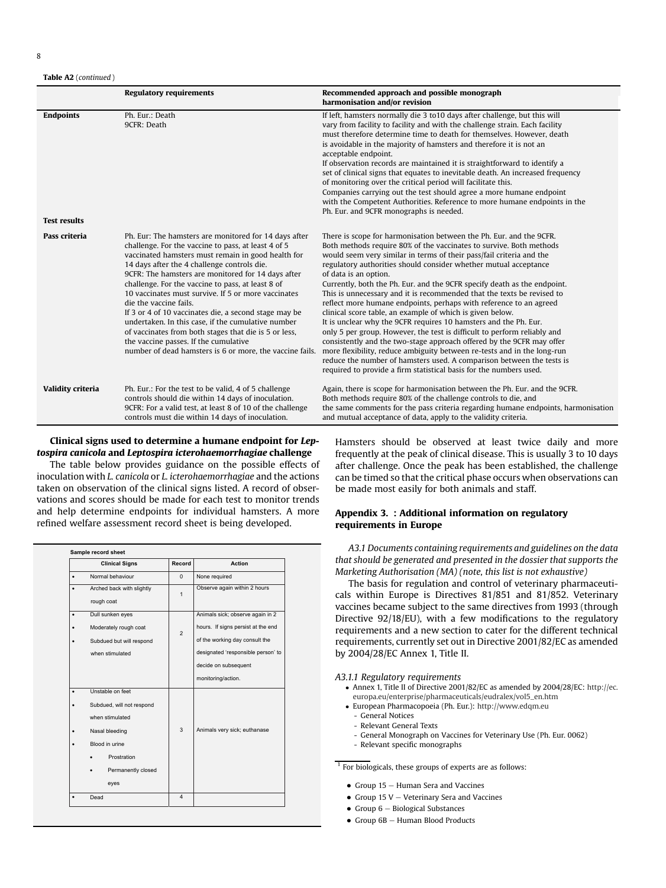Table A2 (continued )

|                                         | <b>Regulatory requirements</b>                                                                                                                                                                                                                                                                                                                                                                                                                                                                                                                                                                                                                                                             | Recommended approach and possible monograph<br>harmonisation and/or revision                                                                                                                                                                                                                                                                                                                                                                                                                                                                                                                                                                                                                                                                                                                                                                                                                                                                                                                                                                                |
|-----------------------------------------|--------------------------------------------------------------------------------------------------------------------------------------------------------------------------------------------------------------------------------------------------------------------------------------------------------------------------------------------------------------------------------------------------------------------------------------------------------------------------------------------------------------------------------------------------------------------------------------------------------------------------------------------------------------------------------------------|-------------------------------------------------------------------------------------------------------------------------------------------------------------------------------------------------------------------------------------------------------------------------------------------------------------------------------------------------------------------------------------------------------------------------------------------------------------------------------------------------------------------------------------------------------------------------------------------------------------------------------------------------------------------------------------------------------------------------------------------------------------------------------------------------------------------------------------------------------------------------------------------------------------------------------------------------------------------------------------------------------------------------------------------------------------|
| <b>Endpoints</b><br><b>Test results</b> | Ph. Eur.: Death<br>9CFR: Death                                                                                                                                                                                                                                                                                                                                                                                                                                                                                                                                                                                                                                                             | If left, hamsters normally die 3 to 10 days after challenge, but this will<br>vary from facility to facility and with the challenge strain. Each facility<br>must therefore determine time to death for themselves. However, death<br>is avoidable in the majority of hamsters and therefore it is not an<br>acceptable endpoint.<br>If observation records are maintained it is straightforward to identify a<br>set of clinical signs that equates to inevitable death. An increased frequency<br>of monitoring over the critical period will facilitate this.<br>Companies carrying out the test should agree a more humane endpoint<br>with the Competent Authorities. Reference to more humane endpoints in the<br>Ph. Eur. and 9CFR monographs is needed.                                                                                                                                                                                                                                                                                             |
|                                         |                                                                                                                                                                                                                                                                                                                                                                                                                                                                                                                                                                                                                                                                                            |                                                                                                                                                                                                                                                                                                                                                                                                                                                                                                                                                                                                                                                                                                                                                                                                                                                                                                                                                                                                                                                             |
| Pass criteria                           | Ph. Eur: The hamsters are monitored for 14 days after<br>challenge. For the vaccine to pass, at least 4 of 5<br>vaccinated hamsters must remain in good health for<br>14 days after the 4 challenge controls die.<br>9CFR: The hamsters are monitored for 14 days after<br>challenge. For the vaccine to pass, at least 8 of<br>10 vaccinates must survive. If 5 or more vaccinates<br>die the vaccine fails.<br>If 3 or 4 of 10 vaccinates die, a second stage may be<br>undertaken. In this case, if the cumulative number<br>of vaccinates from both stages that die is 5 or less,<br>the vaccine passes. If the cumulative<br>number of dead hamsters is 6 or more, the vaccine fails. | There is scope for harmonisation between the Ph. Eur. and the 9CFR.<br>Both methods require 80% of the vaccinates to survive. Both methods<br>would seem very similar in terms of their pass/fail criteria and the<br>regulatory authorities should consider whether mutual acceptance<br>of data is an option.<br>Currently, both the Ph. Eur. and the 9CFR specify death as the endpoint.<br>This is unnecessary and it is recommended that the texts be revised to<br>reflect more humane endpoints, perhaps with reference to an agreed<br>clinical score table, an example of which is given below.<br>It is unclear why the 9CFR requires 10 hamsters and the Ph. Eur.<br>only 5 per group. However, the test is difficult to perform reliably and<br>consistently and the two-stage approach offered by the 9CFR may offer<br>more flexibility, reduce ambiguity between re-tests and in the long-run<br>reduce the number of hamsters used. A comparison between the tests is<br>required to provide a firm statistical basis for the numbers used. |
| Validity criteria                       | Ph. Eur.: For the test to be valid, 4 of 5 challenge<br>controls should die within 14 days of inoculation.<br>9CFR: For a valid test, at least 8 of 10 of the challenge<br>controls must die within 14 days of inoculation.                                                                                                                                                                                                                                                                                                                                                                                                                                                                | Again, there is scope for harmonisation between the Ph. Eur. and the 9CFR.<br>Both methods require 80% of the challenge controls to die, and<br>the same comments for the pass criteria regarding humane endpoints, harmonisation<br>and mutual acceptance of data, apply to the validity criteria.                                                                                                                                                                                                                                                                                                                                                                                                                                                                                                                                                                                                                                                                                                                                                         |

Clinical signs used to determine a humane endpoint for Leptospira canicola and Leptospira icterohaemorrhagiae challenge

The table below provides guidance on the possible effects of inoculation with L. canicola or L. icterohaemorrhagiae and the actions taken on observation of the clinical signs listed. A record of observations and scores should be made for each test to monitor trends and help determine endpoints for individual hamsters. A more refined welfare assessment record sheet is being developed.

| <b>Clinical Signs</b>                                                                                                                             | Record                  | Action                                                                                                                                                                                       |
|---------------------------------------------------------------------------------------------------------------------------------------------------|-------------------------|----------------------------------------------------------------------------------------------------------------------------------------------------------------------------------------------|
| Normal behaviour                                                                                                                                  | $\Omega$                | None required                                                                                                                                                                                |
| Arched back with slightly<br>rough coat                                                                                                           | $\mathbf{1}$            | Observe again within 2 hours                                                                                                                                                                 |
| Dull sunken eyes<br>Moderately rough coat<br>Subdued but will respond<br>when stimulated                                                          | $\overline{2}$          | Animals sick; observe again in 2<br>hours. If signs persist at the end<br>of the working day consult the<br>designated 'responsible person' to<br>decide on subsequent<br>monitoring/action. |
| Unstable on feet<br>Subdued, will not respond<br>when stimulated<br>Nasal bleeding<br>Blood in urine<br>Prostration<br>Permanently closed<br>eyes | 3                       | Animals very sick; euthanase                                                                                                                                                                 |
| Dead                                                                                                                                              | $\overline{\mathbf{4}}$ |                                                                                                                                                                                              |

Hamsters should be observed at least twice daily and more frequently at the peak of clinical disease. This is usually 3 to 10 days after challenge. Once the peak has been established, the challenge can be timed so that the critical phase occurs when observations can be made most easily for both animals and staff.

# Appendix 3. : Additional information on regulatory requirements in Europe

A3.1 Documents containing requirements and guidelines on the data that should be generated and presented in the dossier that supports the Marketing Authorisation (MA) (note, this list is not exhaustive)

The basis for regulation and control of veterinary pharmaceuticals within Europe is Directives 81/851 and 81/852. Veterinary vaccines became subject to the same directives from 1993 (through Directive 92/18/EU), with a few modifications to the regulatory requirements and a new section to cater for the different technical requirements, currently set out in Directive 2001/82/EC as amended by 2004/28/EC Annex 1, Title II.

A3.1.1 Regulatory requirements

- Annex 1, Title II of Directive 2001/82/EC as amended by 2004/28/EC: [http://ec.](http://ec.europa.eu/enterprise/pharmaceuticals/eudralex/vol7_en.htm) [europa.eu/enterprise/pharmaceuticals/eudralex/vol5\\_en.htm](http://ec.europa.eu/enterprise/pharmaceuticals/eudralex/vol7_en.htm)
- European Pharmacopoeia (Ph. Eur.): <http://www.edqm.eu>
	- General Notices
	- Relevant General Texts
	- General Monograph on Vaccines for Veterinary Use (Ph. Eur. 0062)
	- Relevant specific monographs

 $\frac{1}{1}$  For biologicals, these groups of experts are as follows:

- $\bullet$  Group 15 Human Sera and Vaccines
- Group 15  $V$  Veterinary Sera and Vaccines
- $\bullet$  Group 6 Biological Substances
- $\bullet$  Group 6B Human Blood Products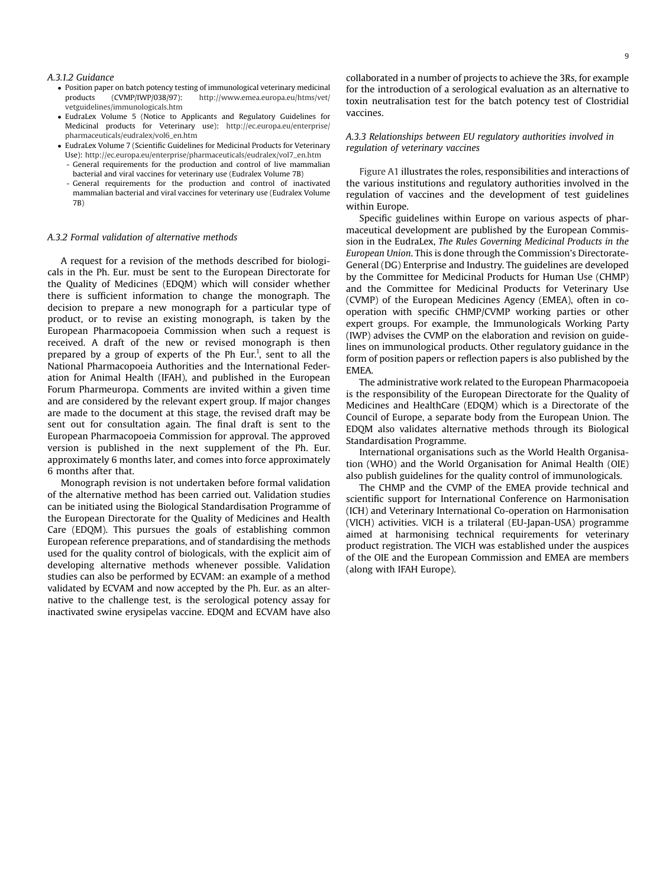#### A.3.1.2 Guidance

- Position paper on batch potency testing of immunological veterinary medicinal<br>products (CVMP/IWP/038/97): http://www.emea.europa.eu/htms/vet/ [http://www.emea.europa.eu/htms/vet/](http://www.emea.europa.eu/htms/vet/vetguidelines/immunologicals.htm) [vetguidelines/immunologicals.htm](http://www.emea.europa.eu/htms/vet/vetguidelines/immunologicals.htm)
- EudraLex Volume 5 (Notice to Applicants and Regulatory Guidelines for Medicinal products for Veterinary use): [http://ec.europa.eu/enterprise/](http://ec.europa.eu/enterprise/pharmaceuticals/eudralex/vol7_en.htm) [pharmaceuticals/eudralex/vol6\\_en.htm](http://ec.europa.eu/enterprise/pharmaceuticals/eudralex/vol7_en.htm)
- EudraLex Volume 7 (Scientific Guidelines for Medicinal Products for Veterinary Use): [http://ec.europa.eu/enterprise/pharmaceuticals/eudralex/vol7\\_en.htm](http://ec.europa.eu/enterprise/pharmaceuticals/eudralex/vol7_en.htm)
- General requirements for the production and control of live mammalian bacterial and viral vaccines for veterinary use (Eudralex Volume 7B)
- General requirements for the production and control of inactivated mammalian bacterial and viral vaccines for veterinary use (Eudralex Volume 7B)

### A.3.2 Formal validation of alternative methods

A request for a revision of the methods described for biologicals in the Ph. Eur. must be sent to the European Directorate for the Quality of Medicines (EDQM) which will consider whether there is sufficient information to change the monograph. The decision to prepare a new monograph for a particular type of product, or to revise an existing monograph, is taken by the European Pharmacopoeia Commission when such a request is received. A draft of the new or revised monograph is then prepared by a group of experts of the Ph Eur.<sup>1</sup>, sent to all the National Pharmacopoeia Authorities and the International Federation for Animal Health (IFAH), and published in the European Forum Pharmeuropa. Comments are invited within a given time and are considered by the relevant expert group. If major changes are made to the document at this stage, the revised draft may be sent out for consultation again. The final draft is sent to the European Pharmacopoeia Commission for approval. The approved version is published in the next supplement of the Ph. Eur. approximately 6 months later, and comes into force approximately 6 months after that.

Monograph revision is not undertaken before formal validation of the alternative method has been carried out. Validation studies can be initiated using the Biological Standardisation Programme of the European Directorate for the Quality of Medicines and Health Care (EDQM). This pursues the goals of establishing common European reference preparations, and of standardising the methods used for the quality control of biologicals, with the explicit aim of developing alternative methods whenever possible. Validation studies can also be performed by ECVAM: an example of a method validated by ECVAM and now accepted by the Ph. Eur. as an alternative to the challenge test, is the serological potency assay for inactivated swine erysipelas vaccine. EDQM and ECVAM have also

collaborated in a number of projects to achieve the 3Rs, for example for the introduction of a serological evaluation as an alternative to toxin neutralisation test for the batch potency test of Clostridial vaccines.

# A.3.3 Relationships between EU regulatory authorities involved in regulation of veterinary vaccines

[Figure A1](#page-21-0) illustrates the roles, responsibilities and interactions of the various institutions and regulatory authorities involved in the regulation of vaccines and the development of test guidelines within Europe.

Specific guidelines within Europe on various aspects of pharmaceutical development are published by the European Commission in the EudraLex, The Rules Governing Medicinal Products in the European Union. This is done through the Commission's Directorate-General (DG) Enterprise and Industry. The guidelines are developed by the Committee for Medicinal Products for Human Use (CHMP) and the Committee for Medicinal Products for Veterinary Use (CVMP) of the European Medicines Agency (EMEA), often in cooperation with specific CHMP/CVMP working parties or other expert groups. For example, the Immunologicals Working Party (IWP) advises the CVMP on the elaboration and revision on guidelines on immunological products. Other regulatory guidance in the form of position papers or reflection papers is also published by the EMEA.

The administrative work related to the European Pharmacopoeia is the responsibility of the European Directorate for the Quality of Medicines and HealthCare (EDQM) which is a Directorate of the Council of Europe, a separate body from the European Union. The EDQM also validates alternative methods through its Biological Standardisation Programme.

International organisations such as the World Health Organisation (WHO) and the World Organisation for Animal Health (OIE) also publish guidelines for the quality control of immunologicals.

The CHMP and the CVMP of the EMEA provide technical and scientific support for International Conference on Harmonisation (ICH) and Veterinary International Co-operation on Harmonisation (VICH) activities. VICH is a trilateral (EU-Japan-USA) programme aimed at harmonising technical requirements for veterinary product registration. The VICH was established under the auspices of the OIE and the European Commission and EMEA are members (along with IFAH Europe).